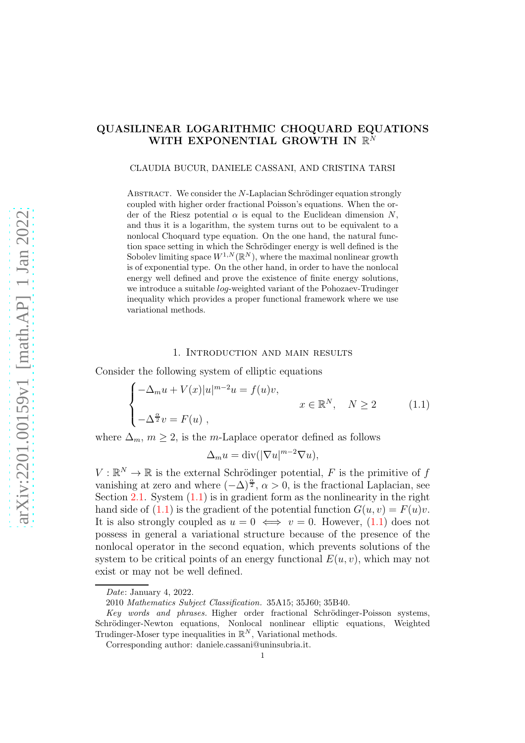# QUASILINEAR LOGARITHMIC CHOQUARD EQUATIONS WITH EXPONENTIAL GROWTH IN  $\mathbb{R}^N$

#### CLAUDIA BUCUR, DANIELE CASSANI, AND CRISTINA TARSI

ABSTRACT. We consider the  $N$ -Laplacian Schrödinger equation strongly coupled with higher order fractional Poisson's equations. When the order of the Riesz potential  $\alpha$  is equal to the Euclidean dimension N, and thus it is a logarithm, the system turns out to be equivalent to a nonlocal Choquard type equation. On the one hand, the natural function space setting in which the Schrödinger energy is well defined is the Sobolev limiting space  $W^{1,N}(\mathbb{R}^N)$ , where the maximal nonlinear growth is of exponential type. On the other hand, in order to have the nonlocal energy well defined and prove the existence of finite energy solutions, we introduce a suitable *log*-weighted variant of the Pohozaev-Trudinger inequality which provides a proper functional framework where we use variational methods.

#### 1. Introduction and main results

Consider the following system of elliptic equations

<span id="page-0-0"></span>
$$
\begin{cases}\n-\Delta_m u + V(x)|u|^{m-2}u = f(u)v, \\
-\Delta^{\frac{\alpha}{2}} v = F(u)\n\end{cases}\n\quad x \in \mathbb{R}^N, \quad N \ge 2
$$
\n(1.1)

where  $\Delta_m$ ,  $m \geq 2$ , is the m-Laplace operator defined as follows

$$
\Delta_m u = \text{div}(|\nabla u|^{m-2} \nabla u),
$$

 $V : \mathbb{R}^N \to \mathbb{R}$  is the external Schrödinger potential, F is the primitive of f vanishing at zero and where  $(-\Delta)^{\frac{\alpha}{2}}$ ,  $\alpha > 0$ , is the fractional Laplacian, see Section [2.1.](#page-5-0) System  $(1.1)$  is in gradient form as the nonlinearity in the right hand side of [\(1.1\)](#page-0-0) is the gradient of the potential function  $G(u, v) = F(u)v$ . It is also strongly coupled as  $u = 0 \iff v = 0$ . However, [\(1.1\)](#page-0-0) does not possess in general a variational structure because of the presence of the nonlocal operator in the second equation, which prevents solutions of the system to be critical points of an energy functional  $E(u, v)$ , which may not exist or may not be well defined.

Date: January 4, 2022.

<sup>2010</sup> Mathematics Subject Classification. 35A15; 35J60; 35B40.

Key words and phrases. Higher order fractional Schrödinger-Poisson systems, Schrödinger-Newton equations, Nonlocal nonlinear elliptic equations, Weighted Trudinger-Moser type inequalities in  $\mathbb{R}^N$ , Variational methods.

Corresponding author: daniele.cassani@uninsubria.it.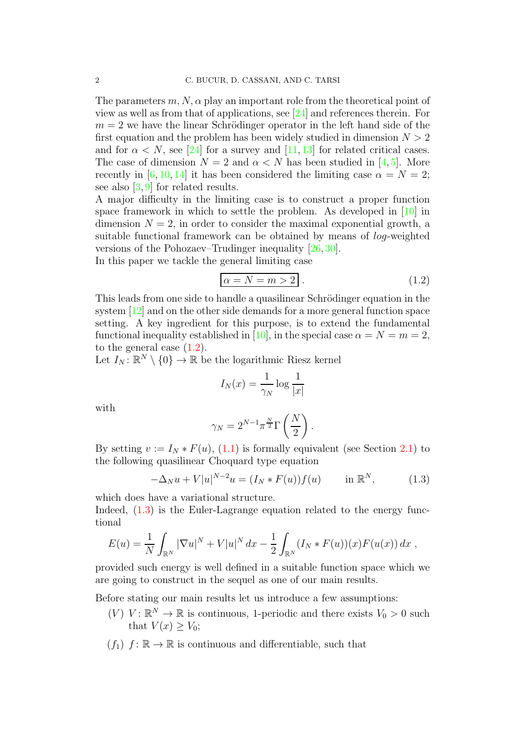The parameters  $m, N, \alpha$  play an important role from the theoretical point of view as well as from that of applications, see [\[24\]](#page-30-0) and references therein. For  $m = 2$  we have the linear Schrödinger operator in the left hand side of the first equation and the problem has been widely studied in dimension  $N > 2$ and for  $\alpha \leq N$ , see [\[24\]](#page-30-0) for a survey and [\[11,](#page-29-0) [13\]](#page-29-1) for related critical cases. The case of dimension  $N = 2$  and  $\alpha < N$  has been studied in [\[4,](#page-29-2) [5\]](#page-29-3). More recently in [\[6,](#page-29-4) [10,](#page-29-5) [14\]](#page-29-6) it has been considered the limiting case  $\alpha = N = 2$ ; see also  $[3, 9]$  $[3, 9]$  for related results.

A major difficulty in the limiting case is to construct a proper function space framework in which to settle the problem. As developed in [\[10\]](#page-29-5) in dimension  $N = 2$ , in order to consider the maximal exponential growth, a suitable functional framework can be obtained by means of log-weighted versions of the Pohozaev–Trudinger inequality [\[26,](#page-30-1) [30\]](#page-30-2).

In this paper we tackle the general limiting case

<span id="page-1-0"></span>
$$
\alpha = N = m > 2 \tag{1.2}
$$

This leads from one side to handle a quasilinear Schrödinger equation in the system [\[12\]](#page-29-9) and on the other side demands for a more general function space setting. A key ingredient for this purpose, is to extend the fundamental functional inequality established in [\[10\]](#page-29-5), in the special case  $\alpha = N = m = 2$ , to the general case [\(1.2\)](#page-1-0).

Let  $I_N: \mathbb{R}^N \setminus \{0\} \to \mathbb{R}$  be the logarithmic Riesz kernel

$$
I_N(x) = \frac{1}{\gamma_N} \log \frac{1}{|x|}
$$

with

$$
\gamma_N = 2^{N-1} \pi^{\frac{N}{2}} \Gamma\left(\frac{N}{2}\right).
$$

By setting  $v := I_N * F(u)$ , [\(1.1\)](#page-0-0) is formally equivalent (see Section [2.1\)](#page-5-0) to the following quasilinear Choquard type equation

<span id="page-1-1"></span>
$$
-\Delta_N u + V|u|^{N-2}u = (I_N * F(u))f(u) \quad \text{in } \mathbb{R}^N, \tag{1.3}
$$

which does have a variational structure.

Indeed,  $(1.3)$  is the Euler-Lagrange equation related to the energy functional

$$
E(u) = \frac{1}{N} \int_{\mathbb{R}^N} |\nabla u|^N + V|u|^N dx - \frac{1}{2} \int_{\mathbb{R}^N} (I_N * F(u))(x) F(u(x)) dx ,
$$

provided such energy is well defined in a suitable function space which we are going to construct in the sequel as one of our main results.

Before stating our main results let us introduce a few assumptions:

- $(V)$   $V: \mathbb{R}^N \to \mathbb{R}$  is continuous, 1-periodic and there exists  $V_0 > 0$  such that  $V(x) > V_0$ ;
- $(f_1)$   $f: \mathbb{R} \to \mathbb{R}$  is continuous and differentiable, such that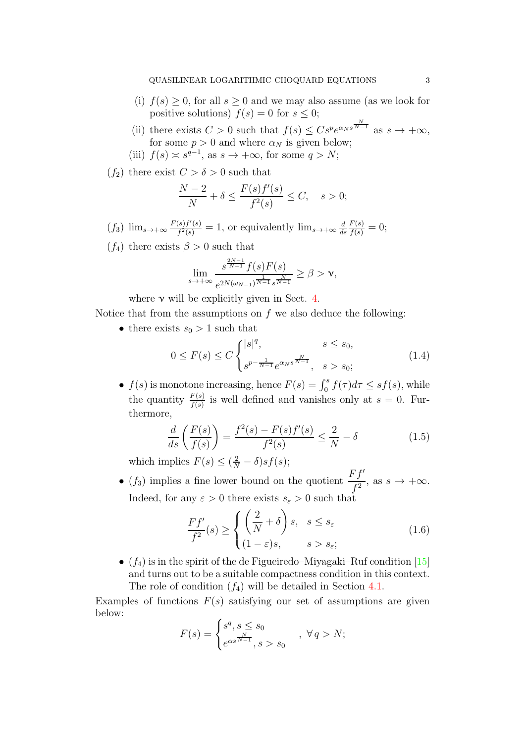- (i)  $f(s) \geq 0$ , for all  $s \geq 0$  and we may also assume (as we look for positive solutions)  $f(s) = 0$  for  $s \leq 0$ ;
- (ii) there exists  $C > 0$  such that  $f(s) \leq C s^p e^{\alpha_N s^{\frac{N}{N-1}}}$  as  $s \to +\infty$ , for some  $p > 0$  and where  $\alpha_N$  is given below;
- (iii)  $f(s) \approx s^{q-1}$ , as  $s \to +\infty$ , for some  $q > N$ ;

 $(f_2)$  there exist  $C > \delta > 0$  such that

$$
\frac{N-2}{N} + \delta \le \frac{F(s)f'(s)}{f^2(s)} \le C, \quad s > 0;
$$

 $(f_3)$   $\lim_{s\to+\infty}\frac{F(s)f'(s)}{f^2(s)}$  $\frac{f(s)f'(s)}{f^2(s)}=1$ , or equivalently  $\lim_{s\to+\infty}\frac{d}{ds}$ ds  $\frac{F(s)}{f(s)} = 0;$ 

 $(f_4)$  there exists  $\beta > 0$  such that

$$
\lim_{s \to +\infty} \frac{s^{\frac{2N-1}{N-1}} f(s) F(s)}{e^{2N(\omega_{N-1})^{\frac{1}{N-1}} s^{\frac{N}{N-1}}} } \ge \beta > \nu,
$$

where  $\nu$  will be explicitly given in Sect. [4.](#page-16-0)

Notice that from the assumptions on  $f$  we also deduce the following:

• there exists  $s_0 > 1$  such that

<span id="page-2-0"></span>
$$
0 \le F(s) \le C \begin{cases} |s|^q, & s \le s_0, \\ s^{p - \frac{1}{N-1}} e^{\alpha_N s^{\frac{N}{N-1}}}, & s > s_0; \end{cases}
$$
(1.4)

•  $f(s)$  is monotone increasing, hence  $F(s) = \int_0^s f(\tau) d\tau \leq s f(s)$ , while the quantity  $\frac{F(s)}{f(s)}$  is well defined and vanishes only at  $s = 0$ . Furthermore,

<span id="page-2-1"></span>
$$
\frac{d}{ds}\left(\frac{F(s)}{f(s)}\right) = \frac{f^2(s) - F(s)f'(s)}{f^2(s)} \le \frac{2}{N} - \delta
$$
\n(1.5)

which implies  $F(s) \leq (\frac{2}{N} - \delta)sf(s);$ 

• (f<sub>3</sub>) implies a fine lower bound on the quotient  $\frac{Ff'}{f^2}$ , as  $s \to +\infty$ . Indeed, for any  $\varepsilon > 0$  there exists  $s_{\varepsilon} > 0$  such that

$$
\frac{Ff'}{f^2}(s) \ge \begin{cases} \left(\frac{2}{N} + \delta\right)s, & s \le s_{\varepsilon} \\ (1 - \varepsilon)s, & s > s_{\varepsilon}; \end{cases}
$$
\n(1.6)

•  $(f_4)$  is in the spirit of the de Figueiredo–Miyagaki–Ruf condition [\[15\]](#page-29-10) and turns out to be a suitable compactness condition in this context. The role of condition  $(f_4)$  will be detailed in Section [4.1.](#page-17-0)

Examples of functions  $F(s)$  satisfying our set of assumptions are given below:

$$
F(s) = \begin{cases} s^q, s \le s_0 \\ e^{\alpha s^{\frac{N}{N-1}}}, s > s_0 \end{cases}, \ \forall q > N;
$$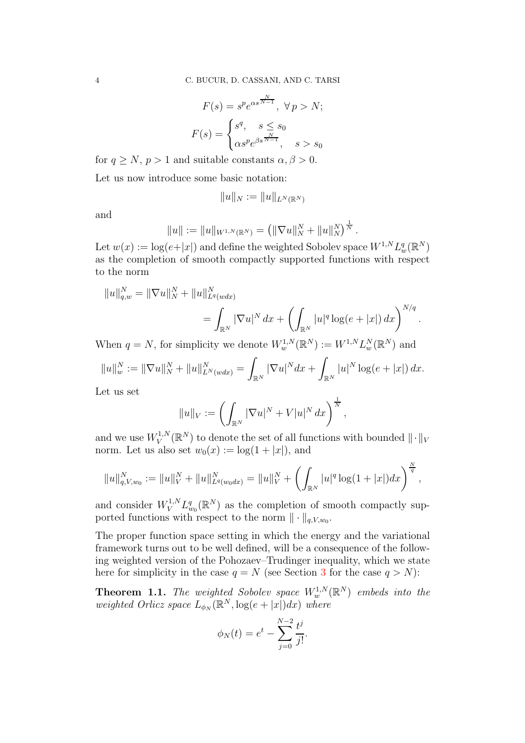$$
F(s) = s^p e^{\alpha s^{\frac{N}{N-1}}}, \ \forall \ p > N;
$$

$$
F(s) = \begin{cases} s^q, & s \le s_0 \\ \alpha s^p e^{\beta s^{\frac{N}{N-1}}}, & s > s_0 \end{cases}
$$

for  $q \geq N$ ,  $p > 1$  and suitable constants  $\alpha, \beta > 0$ .

Let us now introduce some basic notation:

$$
||u||_N := ||u||_{L^N(\mathbb{R}^N)}
$$

and

$$
||u|| := ||u||_{W^{1,N}(\mathbb{R}^N)} = (||\nabla u||_N^N + ||u||_N^N)^{\frac{1}{N}}.
$$

Let  $w(x) := \log(e+|x|)$  and define the weighted Sobolev space  $W^{1,N} L^q_w(\mathbb{R}^N)$ as the completion of smooth compactly supported functions with respect to the norm

$$
||u||_{q,w}^{N} = ||\nabla u||_{N}^{N} + ||u||_{L^{q}(wdx)}^{N}
$$
  
=  $\int_{\mathbb{R}^{N}} |\nabla u|^{N} dx + \left(\int_{\mathbb{R}^{N}} |u|^{q} \log(e + |x|) dx\right)^{N/q}.$ 

When  $q = N$ , for simplicity we denote  $W_w^{1,N}(\mathbb{R}^N) := W^{1,N} L_w^N(\mathbb{R}^N)$  and

$$
||u||_w^N := ||\nabla u||_N^N + ||u||_{L^N(wdx)}^N = \int_{\mathbb{R}^N} |\nabla u|^N dx + \int_{\mathbb{R}^N} |u|^N \log(e + |x|) dx.
$$

Let us set

$$
||u||_V := \left(\int_{\mathbb{R}^N} |\nabla u|^N + V|u|^N dx\right)^{\frac{1}{N}},
$$

and we use  $W_V^{1,N}$  $V^{1,N}_V(\mathbb{R}^N)$  to denote the set of all functions with bounded  $\|\cdot\|_V$ norm. Let us also set  $w_0(x) := \log(1+|x|)$ , and

$$
||u||_{q,V,w_0}^N := ||u||_V^N + ||u||_{L^q(w_0dx)}^N = ||u||_V^N + \left(\int_{\mathbb{R}^N} |u|^q \log(1+|x|) dx\right)^{\frac{N}{q}},
$$

and consider  $W_V^{1,N} L_{w_0}^q(\mathbb{R}^N)$  as the completion of smooth compactly supported functions with respect to the norm  $\|\cdot\|_{q,V,w_0}$ .

The proper function space setting in which the energy and the variational framework turns out to be well defined, will be a consequence of the following weighted version of the Pohozaev–Trudinger inequality, which we state here for simplicity in the case  $q = N$  (see Section [3](#page-10-0) for the case  $q > N$ ):

<span id="page-3-0"></span>**Theorem 1.1.** The weighted Sobolev space  $W_w^{1,N}(\mathbb{R}^N)$  embeds into the  $weighted \text{ } Orlicz \text{ } space \text{ } L_{\phi_N}(\mathbb{R}^N, \log(e+|x|)dx) \text{ } where$ 

$$
\phi_N(t) = e^t - \sum_{j=0}^{N-2} \frac{t^j}{j!}.
$$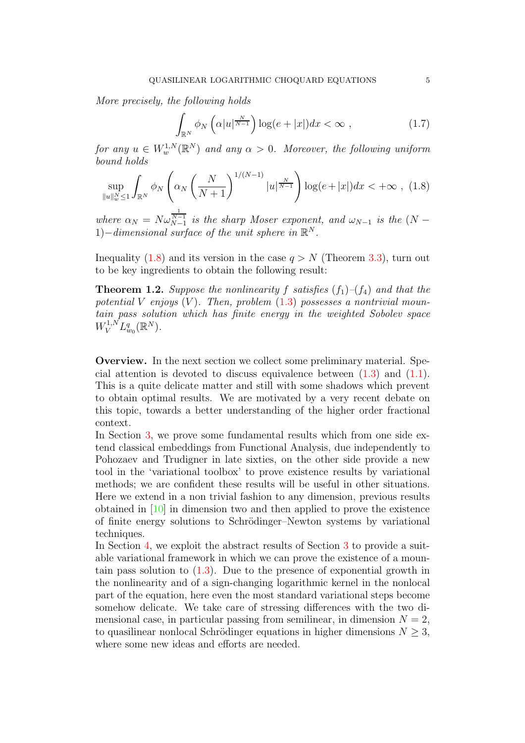*More precisely, the following holds*

$$
\int_{\mathbb{R}^N} \phi_N\left(\alpha|u|^{\frac{N}{N-1}}\right) \log(e+|x|) dx < \infty \;, \tag{1.7}
$$

 $for any u \in W_w^{1,N}(\mathbb{R}^N)$  and any  $\alpha > 0$ . Moreover, the following uniform *bound holds*

<span id="page-4-0"></span>
$$
\sup_{\|u\|_{w}^{N}\leq 1} \int_{\mathbb{R}^{N}} \phi_{N} \left( \alpha_{N} \left( \frac{N}{N+1} \right)^{1/(N-1)} |u|^{\frac{N}{N-1}} \right) \log(e+|x|) dx < +\infty , \tag{1.8}
$$

*where*  $\alpha_N = N \omega_{N-1}^{\frac{1}{N-1}}$  *is the sharp Moser exponent, and*  $\omega_{N-1}$  *is the*  $(N - 1)$ 1) $-$ *dimensional surface of the unit sphere in*  $\mathbb{R}^N$ *.* 

Inequality [\(1.8\)](#page-4-0) and its version in the case  $q > N$  (Theorem [3.3\)](#page-14-0), turn out to be key ingredients to obtain the following result:

<span id="page-4-1"></span>**Theorem 1.2.** *Suppose the nonlinearity* f *satisfies*  $(f_1)$ – $(f_4)$  *and that the potential* V *enjoys* (V )*. Then, problem* [\(1.3\)](#page-1-1) *possesses a nontrivial mountain pass solution which has finite energy in the weighted Sobolev space*  $W_V^{1,N} L_{w_0}^q(\mathbb{R}^N)$ .

Overview. In the next section we collect some preliminary material. Special attention is devoted to discuss equivalence between  $(1.3)$  and  $(1.1)$ . This is a quite delicate matter and still with some shadows which prevent to obtain optimal results. We are motivated by a very recent debate on this topic, towards a better understanding of the higher order fractional context.

In Section [3,](#page-10-0) we prove some fundamental results which from one side extend classical embeddings from Functional Analysis, due independently to Pohozaev and Trudigner in late sixties, on the other side provide a new tool in the 'variational toolbox' to prove existence results by variational methods; we are confident these results will be useful in other situations. Here we extend in a non trivial fashion to any dimension, previous results obtained in [\[10\]](#page-29-5) in dimension two and then applied to prove the existence of finite energy solutions to Schrödinger–Newton systems by variational techniques.

In Section [4,](#page-16-0) we exploit the abstract results of Section [3](#page-10-0) to provide a suitable variational framework in which we can prove the existence of a mountain pass solution to  $(1.3)$ . Due to the presence of exponential growth in the nonlinearity and of a sign-changing logarithmic kernel in the nonlocal part of the equation, here even the most standard variational steps become somehow delicate. We take care of stressing differences with the two dimensional case, in particular passing from semilinear, in dimension  $N = 2$ , to quasilinear nonlocal Schrödinger equations in higher dimensions  $N \geq 3$ , where some new ideas and efforts are needed.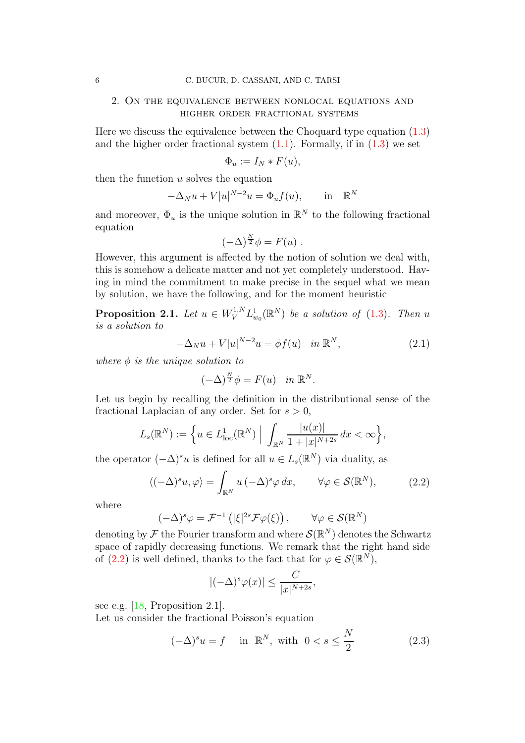### 2. On the equivalence between nonlocal equations and higher order fractional systems

Here we discuss the equivalence between the Choquard type equation [\(1.3\)](#page-1-1) and the higher order fractional system  $(1.1)$ . Formally, if in  $(1.3)$  we set

$$
\Phi_u := I_N * F(u),
$$

then the function  $u$  solves the equation

$$
-\Delta_N u + V|u|^{N-2}u = \Phi_u f(u), \quad \text{in} \quad \mathbb{R}^N
$$

and moreover,  $\Phi_u$  is the unique solution in  $\mathbb{R}^N$  to the following fractional equation

$$
(-\Delta)^{\frac{N}{2}}\phi = F(u) .
$$

However, this argument is affected by the notion of solution we deal with, this is somehow a delicate matter and not yet completely understood. Having in mind the commitment to make precise in the sequel what we mean by solution, we have the following, and for the moment heuristic

<span id="page-5-0"></span>**Proposition 2.1.** Let  $u \in W_V^{1,N} L^1_{w_0}(\mathbb{R}^N)$  be a solution of [\(1.3\)](#page-1-1). Then u *is a solution to*

$$
-\Delta_N u + V|u|^{N-2}u = \phi f(u) \quad \text{in } \mathbb{R}^N,
$$
\n(2.1)

*where*  $\phi$  *is the unique solution to* 

$$
(-\Delta)^{\frac{N}{2}}\phi = F(u) \quad in \ \mathbb{R}^N.
$$

Let us begin by recalling the definition in the distributional sense of the fractional Laplacian of any order. Set for  $s > 0$ ,

$$
L_s(\mathbb{R}^N) := \left\{ u \in L^1_{\text{loc}}(\mathbb{R}^N) \; \Big| \; \int_{\mathbb{R}^N} \frac{|u(x)|}{1 + |x|^{N+2s}} \, dx < \infty \right\},
$$

the operator  $(-\Delta)^s u$  is defined for all  $u \in L_s(\mathbb{R}^N)$  via duality, as

<span id="page-5-1"></span>
$$
\langle (-\Delta)^s u, \varphi \rangle = \int_{\mathbb{R}^N} u \, (-\Delta)^s \varphi \, dx, \qquad \forall \varphi \in \mathcal{S}(\mathbb{R}^N), \tag{2.2}
$$

where

$$
(-\Delta)^s \varphi = \mathcal{F}^{-1}\left( |\xi|^{2s} \mathcal{F} \varphi(\xi) \right), \qquad \forall \varphi \in \mathcal{S}(\mathbb{R}^N)
$$

denoting by  $\mathcal F$  the Fourier transform and where  $\mathcal S(\mathbb R^N)$  denotes the Schwartz space of rapidly decreasing functions. We remark that the right hand side of [\(2.2\)](#page-5-1) is well defined, thanks to the fact that for  $\varphi \in \mathcal{S}(\mathbb{R}^N)$ ,

$$
|(-\Delta)^s \varphi(x)| \le \frac{C}{|x|^{N+2s}},
$$

see e.g. [\[18,](#page-29-11) Proposition 2.1].

Let us consider the fractional Poisson's equation

<span id="page-5-2"></span>
$$
(-\Delta)^s u = f \quad \text{in } \mathbb{R}^N, \text{ with } 0 < s \le \frac{N}{2} \tag{2.3}
$$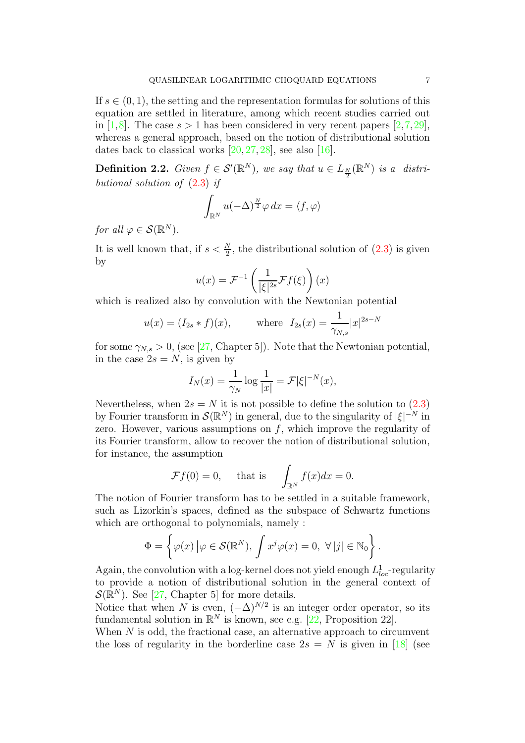If  $s \in (0, 1)$ , the setting and the representation formulas for solutions of this equation are settled in literature, among which recent studies carried out in [\[1,](#page-29-12)[8\]](#page-29-13). The case  $s > 1$  has been considered in very recent papers [\[2,](#page-29-14)[7,](#page-29-15)[29\]](#page-30-3), whereas a general approach, based on the notion of distributional solution dates back to classical works  $[20, 27, 28]$  $[20, 27, 28]$  $[20, 27, 28]$  $[20, 27, 28]$ , see also  $[16]$ .

<span id="page-6-0"></span>**Definition 2.2.** *Given*  $f \in \mathcal{S}'(\mathbb{R}^N)$ *, we say that*  $u \in L_{\frac{N}{2}}(\mathbb{R}^N)$  *is a distributional solution of* [\(2.3\)](#page-5-2) *if*

$$
\int_{\mathbb{R}^N} u(-\Delta)^{\frac{N}{2}} \varphi \, dx = \langle f, \varphi \rangle
$$

*for all*  $\varphi \in \mathcal{S}(\mathbb{R}^N)$ *.* 

It is well known that, if  $s < \frac{N}{2}$ , the distributional solution of  $(2.3)$  is given by

$$
u(x) = \mathcal{F}^{-1}\left(\frac{1}{|\xi|^{2s}} \mathcal{F}f(\xi)\right)(x)
$$

which is realized also by convolution with the Newtonian potential

$$
u(x) = (I_{2s} * f)(x)
$$
, where  $I_{2s}(x) = \frac{1}{\gamma_{N,s}} |x|^{2s-N}$ 

for some  $\gamma_{N,s} > 0$ , (see [\[27,](#page-30-4) Chapter 5]). Note that the Newtonian potential, in the case  $2s = N$ , is given by

$$
I_N(x) = \frac{1}{\gamma_N} \log \frac{1}{|x|} = \mathcal{F} |\xi|^{-N}(x),
$$

Nevertheless, when  $2s = N$  it is not possible to define the solution to  $(2.3)$ by Fourier transform in  $\mathcal{S}(\mathbb{R}^N)$  in general, due to the singularity of  $|\xi|^{-N}$  in zero. However, various assumptions on  $f$ , which improve the regularity of its Fourier transform, allow to recover the notion of distributional solution, for instance, the assumption

$$
\mathcal{F}f(0) = 0
$$
, that is  $\int_{\mathbb{R}^N} f(x)dx = 0$ .

The notion of Fourier transform has to be settled in a suitable framework, such as Lizorkin's spaces, defined as the subspace of Schwartz functions which are orthogonal to polynomials, namely :

$$
\Phi = \left\{ \varphi(x) \left| \varphi \in \mathcal{S}(\mathbb{R}^N), \int x^j \varphi(x) = 0, \ \forall \, |j| \in \mathbb{N}_0 \right. \right\}.
$$

Again, the convolution with a log-kernel does not yield enough  $L_{loc}^1$ -regularity to provide a notion of distributional solution in the general context of  $\mathcal{S}(\mathbb{R}^N)$ . See [\[27,](#page-30-4) Chapter 5] for more details.

Notice that when N is even,  $(-\Delta)^{N/2}$  is an integer order operator, so its fundamental solution in  $\mathbb{R}^N$  is known, see e.g. [\[22,](#page-30-6) Proposition 22].

When  $N$  is odd, the fractional case, an alternative approach to circumvent the loss of regularity in the borderline case  $2s = N$  is given in [\[18\]](#page-29-11) (see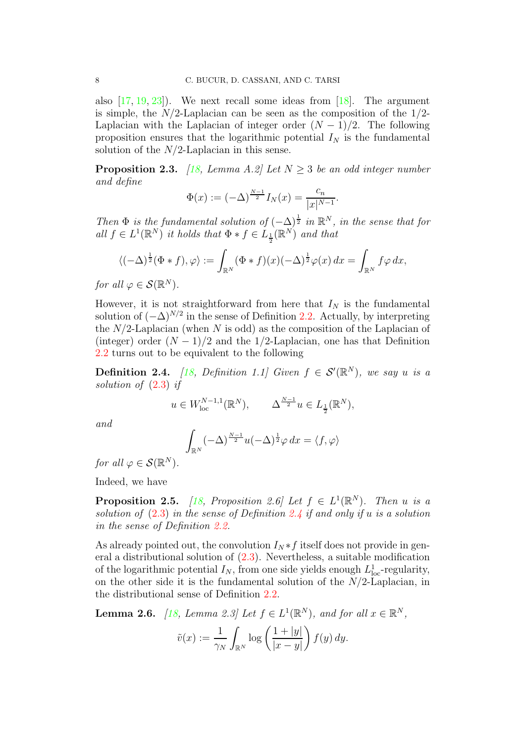also  $[17, 19, 23]$  $[17, 19, 23]$  $[17, 19, 23]$  $[17, 19, 23]$ . We next recall some ideas from  $[18]$ . The argument is simple, the  $N/2$ -Laplacian can be seen as the composition of the  $1/2$ -Laplacian with the Laplacian of integer order  $(N-1)/2$ . The following proposition ensures that the logarithmic potential  $I_N$  is the fundamental solution of the  $N/2$ -Laplacian in this sense.

**Proposition 2.3.** *[\[18,](#page-29-11) Lemma A.2] Let*  $N \geq 3$  *be an odd integer number and define*

$$
\Phi(x) := (-\Delta)^{\frac{N-1}{2}} I_N(x) = \frac{c_n}{|x|^{N-1}}.
$$

*Then*  $\Phi$  *is the fundamental solution of*  $(-\Delta)^{\frac{1}{2}}$  *in*  $\mathbb{R}^N$ *, in the sense that for*  $all f \in L^1(\mathbb{R}^N)$  *it holds that*  $\Phi * f \in L_{\frac{1}{2}}(\mathbb{R}^N)$  *and that* 

$$
\langle (-\Delta)^{\frac{1}{2}}(\Phi * f), \varphi \rangle := \int_{\mathbb{R}^N} (\Phi * f)(x) (-\Delta)^{\frac{1}{2}} \varphi(x) dx = \int_{\mathbb{R}^N} f \varphi dx,
$$

*for all*  $\varphi \in \mathcal{S}(\mathbb{R}^N)$ *.* 

However, it is not straightforward from here that  $I_N$  is the fundamental solution of  $(-\Delta)^{N/2}$  in the sense of Definition [2.2.](#page-6-0) Actually, by interpreting the  $N/2$ -Laplacian (when N is odd) as the composition of the Laplacian of (integer) order  $(N-1)/2$  and the 1/2-Laplacian, one has that Definition [2.2](#page-6-0) turns out to be equivalent to the following

<span id="page-7-0"></span>**Definition 2.4.** *[\[18,](#page-29-11) Definition 1.1]* Given  $f \in \mathcal{S}'(\mathbb{R}^N)$ *, we say u is a solution of* [\(2.3\)](#page-5-2) *if*

$$
u \in W^{N-1,1}_{\mathrm{loc}}(\mathbb{R}^N), \qquad \Delta^{\frac{N-1}{2}}u \in L_{\frac{1}{2}}(\mathbb{R}^N),
$$

*and*

$$
\int_{\mathbb{R}^N} (-\Delta)^{\frac{N-1}{2}} u(-\Delta)^{\frac{1}{2}} \varphi \, dx = \langle f, \varphi \rangle
$$

*for all*  $\varphi \in \mathcal{S}(\mathbb{R}^N)$ *.* 

Indeed, we have

**Proposition 2.5.** *[\[18,](#page-29-11) Proposition 2.6]* Let  $f \in L^1(\mathbb{R}^N)$ . Then u is a *solution of* [\(2.3\)](#page-5-2) *in the sense of Definition [2.4](#page-7-0) if and only if* u *is a solution in the sense of Definition [2.2.](#page-6-0)*

As already pointed out, the convolution  $I_N * f$  itself does not provide in general a distributional solution of [\(2.3\)](#page-5-2). Nevertheless, a suitable modification of the logarithmic potential  $I_N$ , from one side yields enough  $L^1_{loc}$ -regularity, on the other side it is the fundamental solution of the  $N/2$ -Laplacian, in the distributional sense of Definition [2.2.](#page-6-0)

<span id="page-7-1"></span>**Lemma 2.6.** [\[18,](#page-29-11) Lemma 2.3] Let  $f \in L^1(\mathbb{R}^N)$ , and for all  $x \in \mathbb{R}^N$ ,

$$
\tilde{v}(x) := \frac{1}{\gamma_N} \int_{\mathbb{R}^N} \log \left( \frac{1 + |y|}{|x - y|} \right) f(y) \, dy.
$$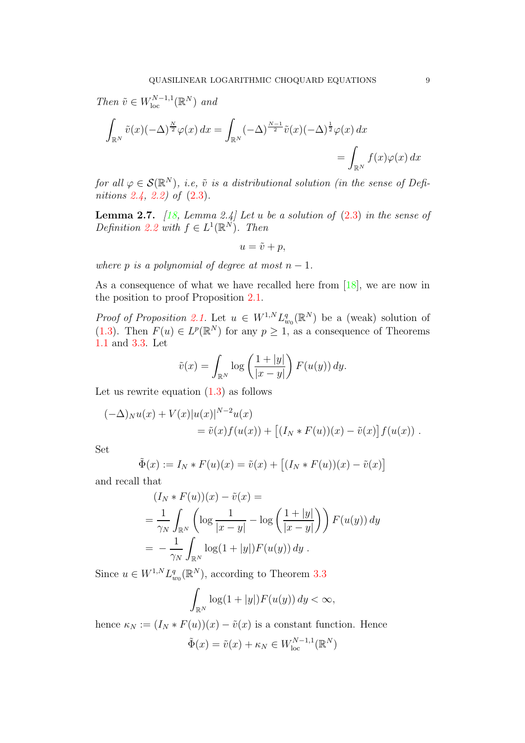*Then*  $\tilde{v} \in W_{\text{loc}}^{N-1,1}(\mathbb{R}^N)$  *and* Z Z

$$
\int_{\mathbb{R}^N} \tilde{v}(x) (-\Delta)^{\frac{N}{2}} \varphi(x) dx = \int_{\mathbb{R}^N} (-\Delta)^{\frac{N-1}{2}} \tilde{v}(x) (-\Delta)^{\frac{1}{2}} \varphi(x) dx
$$
  
= 
$$
\int_{\mathbb{R}^N} f(x) \varphi(x) dx
$$

*for all*  $\varphi \in \mathcal{S}(\mathbb{R}^N)$ , *i.e,*  $\tilde{v}$  *is a distributional solution (in the sense of Definitions [2.4,](#page-7-0) [2.2\)](#page-6-0) of* [\(2.3\)](#page-5-2)*.*

Lemma 2.7. *[\[18,](#page-29-11) Lemma 2.4] Let* u *be a solution of* [\(2.3\)](#page-5-2) *in the sense of Definition* [2.2](#page-6-0) *with*  $f \in L^1(\mathbb{R}^N)$ *. Then* 

$$
u = \tilde{v} + p,
$$

*where* p *is a polynomial of degree at most*  $n - 1$ *.* 

As a consequence of what we have recalled here from [\[18\]](#page-29-11), we are now in the position to proof Proposition [2.1.](#page-5-0)

*Proof of Proposition* [2.1.](#page-5-0) Let  $u \in W^{1,N} L^q_{w_0}(\mathbb{R}^N)$  be a (weak) solution of [\(1.3\)](#page-1-1). Then  $F(u) \in L^p(\mathbb{R}^N)$  for any  $p \geq 1$ , as a consequence of Theorems [1.1](#page-3-0) and [3.3.](#page-14-0) Let

$$
\tilde{v}(x) = \int_{\mathbb{R}^N} \log \left( \frac{1 + |y|}{|x - y|} \right) F(u(y)) \, dy.
$$

Let us rewrite equation  $(1.3)$  as follows

$$
(-\Delta)_N u(x) + V(x) |u(x)|^{N-2} u(x)
$$
  
=  $\tilde{v}(x) f(u(x)) + [(I_N * F(u))(x) - \tilde{v}(x)] f(u(x))$ .

Set

$$
\tilde{\Phi}(x) := I_N * F(u)(x) = \tilde{v}(x) + \left[ (I_N * F(u))(x) - \tilde{v}(x) \right]
$$

and recall that

$$
(I_N * F(u))(x) - \tilde{v}(x) =
$$
  
=  $\frac{1}{\gamma_N} \int_{\mathbb{R}^N} \left( \log \frac{1}{|x-y|} - \log \left( \frac{1+|y|}{|x-y|} \right) \right) F(u(y)) dy$   
=  $-\frac{1}{\gamma_N} \int_{\mathbb{R}^N} \log(1+|y|) F(u(y)) dy$ .

Since  $u \in W^{1,N} L_{w_0}^q(\mathbb{R}^N)$ , according to Theorem [3.3](#page-14-0)

$$
\int_{\mathbb{R}^N} \log(1+|y|) F(u(y)) dy < \infty,
$$

hence  $\kappa_N := (I_N * F(u))(x) - \tilde{v}(x)$  is a constant function. Hence

$$
\tilde{\Phi}(x) = \tilde{v}(x) + \kappa_N \in W_{\text{loc}}^{N-1,1}(\mathbb{R}^N)
$$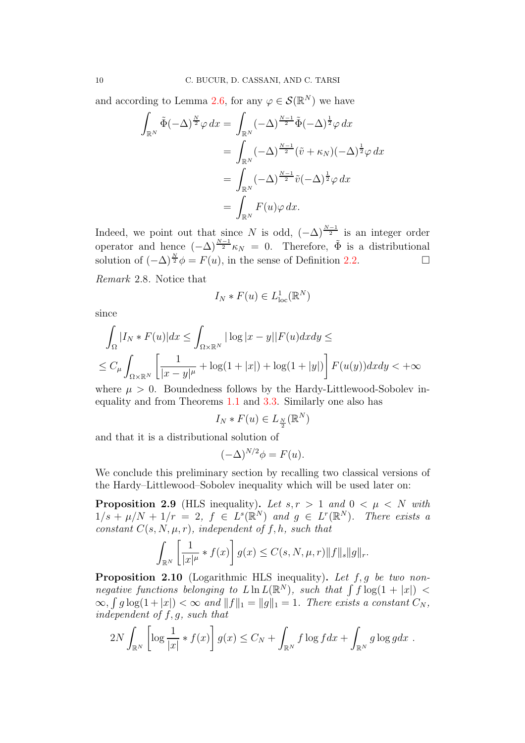and according to Lemma [2.6,](#page-7-1) for any  $\varphi \in \mathcal{S}(\mathbb{R}^N)$  we have

$$
\int_{\mathbb{R}^N} \tilde{\Phi}(-\Delta)^{\frac{N}{2}} \varphi \, dx = \int_{\mathbb{R}^N} (-\Delta)^{\frac{N-1}{2}} \tilde{\Phi}(-\Delta)^{\frac{1}{2}} \varphi \, dx
$$

$$
= \int_{\mathbb{R}^N} (-\Delta)^{\frac{N-1}{2}} (\tilde{v} + \kappa_N)(-\Delta)^{\frac{1}{2}} \varphi \, dx
$$

$$
= \int_{\mathbb{R}^N} (-\Delta)^{\frac{N-1}{2}} \tilde{v}(-\Delta)^{\frac{1}{2}} \varphi \, dx
$$

$$
= \int_{\mathbb{R}^N} F(u) \varphi \, dx.
$$

Indeed, we point out that since N is odd,  $(-\Delta)^{\frac{N-1}{2}}$  is an integer order operator and hence  $(-\Delta)^{\frac{N-1}{2}}\kappa_N = 0$ . Therefore,  $\tilde{\Phi}$  is a distributional solution of  $(-\Delta)^{\frac{N}{2}} \phi = F(u)$ , in the sense of Definition [2.2.](#page-6-0) □

*Remark* 2.8*.* Notice that

$$
I_N * F(u) \in L^1_{loc}(\mathbb{R}^N)
$$

since

$$
\int_{\Omega} |I_N * F(u)| dx \le \int_{\Omega \times \mathbb{R}^N} |\log |x - y|| F(u) dx dy \le
$$
  

$$
\le C_{\mu} \int_{\Omega \times \mathbb{R}^N} \left[ \frac{1}{|x - y|^{\mu}} + \log(1 + |x|) + \log(1 + |y|) \right] F(u(y)) dx dy < +\infty
$$

where  $\mu > 0$ . Boundedness follows by the Hardy-Littlewood-Sobolev inequality and from Theorems [1.1](#page-3-0) and [3.3.](#page-14-0) Similarly one also has

$$
I_N * F(u) \in L_{\frac{N}{2}}(\mathbb{R}^N)
$$

and that it is a distributional solution of

$$
(-\Delta)^{N/2}\phi = F(u).
$$

We conclude this preliminary section by recalling two classical versions of the Hardy–Littlewood–Sobolev inequality which will be used later on:

<span id="page-9-1"></span>**Proposition 2.9** (HLS inequality). Let  $s, r > 1$  and  $0 < \mu < N$  with  $1/s + \mu/N + 1/r = 2$ ,  $f \in L^{s}(\mathbb{R}^{N})$  and  $g \in L^{r}(\mathbb{R}^{N})$ . There exists a *constant*  $C(s, N, \mu, r)$ *, independent of*  $f, h$ *, such that* 

$$
\int_{\mathbb{R}^N} \left[ \frac{1}{|x|^{\mu}} * f(x) \right] g(x) \le C(s, N, \mu, r) \|f\|_s \|g\|_r.
$$

<span id="page-9-0"></span>Proposition 2.10 (Logarithmic HLS inequality). *Let* f, g *be two nonnegative functions belonging to*  $L \ln L(\mathbb{R}^N)$ , such that  $\int f \log(1 + |x|)$  $\infty$ ,  $\int g \log(1 + |x|) < \infty$  and  $||f||_1 = ||g||_1 = 1$ . There exists a constant  $C_N$ , *independent of* f, g*, such that*

$$
2N\int_{\mathbb{R}^N}\left[\log\frac{1}{|x|}*f(x)\right]g(x)\leq C_N+\int_{\mathbb{R}^N}f\log fdx+\int_{\mathbb{R}^N}g\log gdx.
$$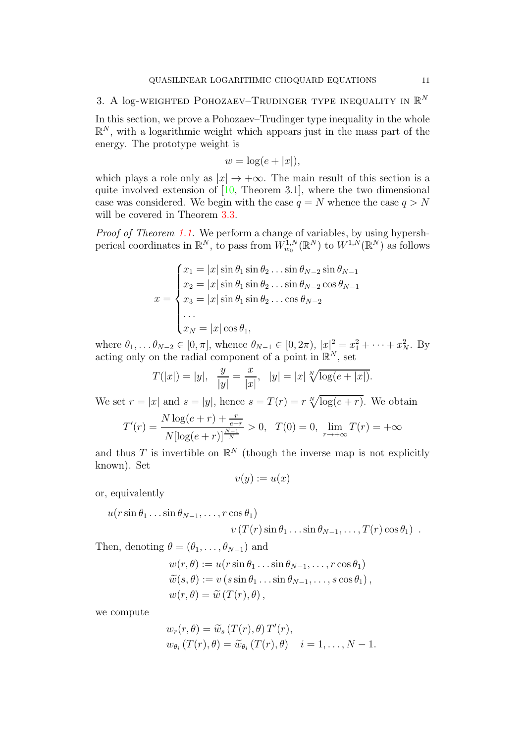# <span id="page-10-0"></span>3. A log-weighted POHOZAEV–TRUDINGER TYPE INEQUALITY IN  $\mathbb{R}^N$

In this section, we prove a Pohozaev–Trudinger type inequality in the whole  $\mathbb{R}^N$ , with a logarithmic weight which appears just in the mass part of the energy. The prototype weight is

$$
w = \log(e + |x|),
$$

which plays a role only as  $|x| \to +\infty$ . The main result of this section is a quite involved extension of [\[10,](#page-29-5) Theorem 3.1], where the two dimensional case was considered. We begin with the case  $q = N$  whence the case  $q > N$ will be covered in Theorem [3.3.](#page-14-0)

*Proof of Theorem [1.1.](#page-3-0)* We perform a change of variables, by using hypershperical coordinates in  $\mathbb{R}^N$ , to pass from  $W_{w_0}^{1,N}(\mathbb{R}^N)$  to  $W^{1,N}(\mathbb{R}^N)$  as follows

$$
x = \begin{cases} x_1 = |x| \sin \theta_1 \sin \theta_2 \dots \sin \theta_{N-2} \sin \theta_{N-1} \\ x_2 = |x| \sin \theta_1 \sin \theta_2 \dots \sin \theta_{N-2} \cos \theta_{N-1} \\ x_3 = |x| \sin \theta_1 \sin \theta_2 \dots \cos \theta_{N-2} \\ \dots \\ x_N = |x| \cos \theta_1, \end{cases}
$$

where  $\theta_1, \ldots, \theta_{N-2} \in [0, \pi]$ , whence  $\theta_{N-1} \in [0, 2\pi)$ ,  $|x|^2 = x_1^2 + \cdots + x_N^2$ . By acting only on the radial component of a point in  $\mathbb{R}^N$ , set

$$
T(|x|) = |y|, \quad \frac{y}{|y|} = \frac{x}{|x|}, \quad |y| = |x| \sqrt[N]{\log(e + |x|)}.
$$

We set  $r = |x|$  and  $s = |y|$ , hence  $s = T(r) = r \sqrt[N]{\log(e+r)}$ . We obtain

$$
T'(r) = \frac{N \log(e+r) + \frac{r}{e+r}}{N[\log(e+r)]^{\frac{N-1}{N}}} > 0, \quad T(0) = 0, \quad \lim_{r \to +\infty} T(r) = +\infty
$$

and thus T is invertible on  $\mathbb{R}^N$  (though the inverse map is not explicitly known). Set

$$
v(y):=u(x)
$$

or, equivalently

$$
u(r\sin\theta_1 \dots \sin\theta_{N-1}, \dots, r\cos\theta_1)
$$
  
 
$$
v(T(r)\sin\theta_1 \dots \sin\theta_{N-1}, \dots, T(r)\cos\theta_1).
$$

Then, denoting  $\theta = (\theta_1, \ldots, \theta_{N-1})$  and

$$
w(r, \theta) := u(r \sin \theta_1 \dots \sin \theta_{N-1}, \dots, r \cos \theta_1)
$$
  
\n
$$
\widetilde{w}(s, \theta) := v (s \sin \theta_1 \dots \sin \theta_{N-1}, \dots, s \cos \theta_1),
$$
  
\n
$$
w(r, \theta) = \widetilde{w}(T(r), \theta),
$$

we compute

$$
w_r(r, \theta) = \widetilde{w}_s(T(r), \theta) T'(r),
$$
  
\n
$$
w_{\theta_i}(T(r), \theta) = \widetilde{w}_{\theta_i}(T(r), \theta) \quad i = 1, ..., N - 1.
$$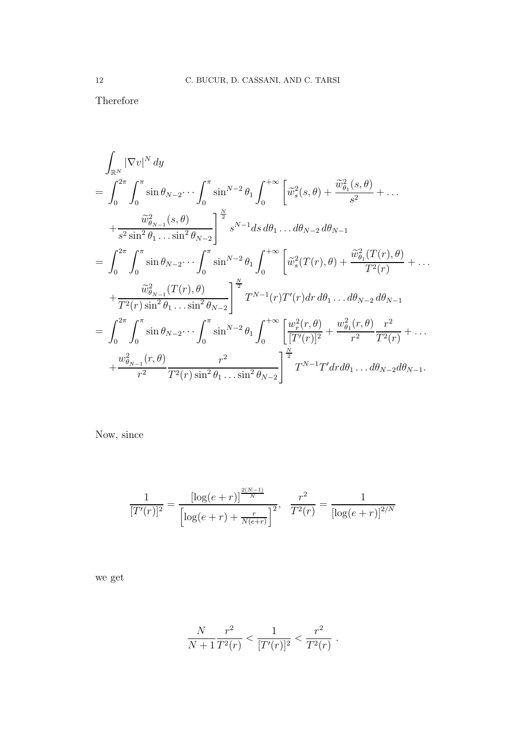Therefore

$$
\int_{\mathbb{R}^{N}} |\nabla v|^{N} dy
$$
\n
$$
= \int_{0}^{2\pi} \int_{0}^{\pi} \sin \theta_{N-2} \cdots \int_{0}^{\pi} \sin^{N-2} \theta_{1} \int_{0}^{+\infty} \left[ \tilde{w}_{s}^{2}(s, \theta) + \frac{\tilde{w}_{\theta_{1}}^{2}(s, \theta)}{s^{2}} + \cdots \right. \\
\left. + \frac{\tilde{w}_{\theta_{N-1}}^{2}(s, \theta)}{s^{2} \sin^{2} \theta_{1} \cdots \sin^{2} \theta_{N-2}} \right]_{s}^{N-1} ds d\theta_{1} \cdots d\theta_{N-2} d\theta_{N-1}
$$
\n
$$
= \int_{0}^{2\pi} \int_{0}^{\pi} \sin \theta_{N-2} \cdots \int_{0}^{\pi} \sin^{N-2} \theta_{1} \int_{0}^{+\infty} \left[ \tilde{w}_{s}^{2}(T(r), \theta) + \frac{\tilde{w}_{\theta_{1}}^{2}(T(r), \theta)}{T^{2}(r)} + \cdots \right. \\
\left. + \frac{\tilde{w}_{\theta_{N-1}}^{2}(T(r), \theta)}{T^{2}(r) \sin^{2} \theta_{1} \cdots \sin^{2} \theta_{N-2}} \right]_{s}^{N} T^{N-1}(r) T'(r) dr d\theta_{1} \cdots d\theta_{N-2} d\theta_{N-1}
$$
\n
$$
= \int_{0}^{2\pi} \int_{0}^{\pi} \sin \theta_{N-2} \cdots \int_{0}^{\pi} \sin^{N-2} \theta_{1} \int_{0}^{+\infty} \left[ \frac{w_{r}^{2}(r, \theta)}{[T'(r)]^{2}} + \frac{w_{\theta_{1}}^{2}(r, \theta)}{r^{2}} \frac{r^{2}}{T^{2}(r)} + \cdots \right. \\
\left. + \frac{w_{\theta_{N-1}}^{2}(r, \theta)}{r^{2}} \frac{r^{2}}{T^{2}(r) \sin^{2} \theta_{1} \cdots \sin^{2} \theta_{N-2}} \right]_{s}^{\frac{N}{2}} T^{N-1} T' dr d\theta_{1} \cdots d\theta_{N-2} d\theta_{N-1}.
$$

Now, since

$$
\frac{1}{[T'(r)]^2} = \frac{\left[\log(e+r)\right]^{\frac{2(N-1)}{N}}}{\left[\log(e+r) + \frac{r}{N(e+r)}\right]^2}, \frac{r^2}{T^2(r)} = \frac{1}{\left[\log(e+r)\right]^{2/N}}
$$

we get

$$
\frac{N}{N+1} \frac{r^2}{T^2(r)} < \frac{1}{[T'(r)]^2} < \frac{r^2}{T^2(r)}.
$$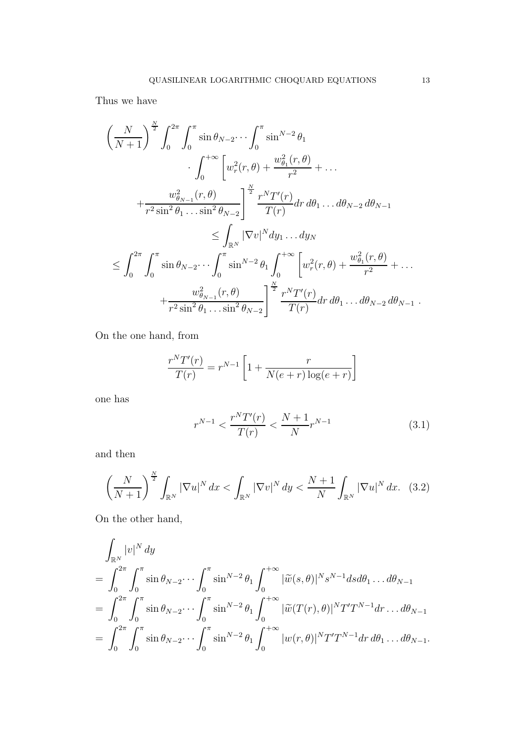Thus we have

$$
\left(\frac{N}{N+1}\right)^{\frac{N}{2}} \int_{0}^{2\pi} \int_{0}^{\pi} \sin \theta_{N-2} \cdots \int_{0}^{\pi} \sin^{N-2} \theta_{1} \cdot \int_{0}^{+\infty} \left[w_{r}^{2}(r,\theta) + \frac{w_{\theta_{1}}^{2}(r,\theta)}{r^{2}} + \cdots \right] \n+ \frac{w_{\theta_{N-1}}^{2}(r,\theta)}{r^{2} \sin^{2} \theta_{1} \cdots \sin^{2} \theta_{N-2}} \bigg]^{\frac{N}{2}} \frac{r^{N} T'(r)}{T(r)} dr d\theta_{1} \cdots d\theta_{N-2} d\theta_{N-1} \n\leq \int_{\mathbb{R}^{N}} |\nabla v|^{N} dy_{1} \cdots dy_{N} \n\leq \int_{0}^{2\pi} \int_{0}^{\pi} \sin \theta_{N-2} \cdots \int_{0}^{\pi} \sin^{N-2} \theta_{1} \int_{0}^{+\infty} \left[w_{r}^{2}(r,\theta) + \frac{w_{\theta_{1}}^{2}(r,\theta)}{r^{2}} + \cdots \n+ \frac{w_{\theta_{N-1}}^{2}(r,\theta)}{r^{2} \sin^{2} \theta_{1} \cdots \sin^{2} \theta_{N-2}} \right]^{\frac{N}{2}} \frac{r^{N} T'(r)}{T(r)} dr d\theta_{1} \cdots d\theta_{N-2} d\theta_{N-1} .
$$

On the one hand, from

$$
\frac{r^{N}T'(r)}{T(r)} = r^{N-1} \left[ 1 + \frac{r}{N(e+r)\log(e+r)} \right]
$$

one has

<span id="page-12-0"></span>
$$
r^{N-1} < \frac{r^N T'(r)}{T(r)} < \frac{N+1}{N} r^{N-1} \tag{3.1}
$$

and then

$$
\left(\frac{N}{N+1}\right)^{\frac{N}{2}}\int_{\mathbb{R}^N}|\nabla u|^N\,dx < \int_{\mathbb{R}^N}|\nabla v|^N\,dy < \frac{N+1}{N}\int_{\mathbb{R}^N}|\nabla u|^N\,dx. \tag{3.2}
$$

On the other hand,

$$
\int_{\mathbb{R}^N} |v|^N \, dy
$$
\n
$$
= \int_0^{2\pi} \int_0^{\pi} \sin \theta_{N-2} \cdots \int_0^{\pi} \sin^{N-2} \theta_1 \int_0^{+\infty} |\widetilde{w}(s,\theta)|^N s^{N-1} ds d\theta_1 \dots d\theta_{N-1}
$$
\n
$$
= \int_0^{2\pi} \int_0^{\pi} \sin \theta_{N-2} \cdots \int_0^{\pi} \sin^{N-2} \theta_1 \int_0^{+\infty} |\widetilde{w}(T(r),\theta)|^N T' T^{N-1} dr \dots d\theta_{N-1}
$$
\n
$$
= \int_0^{2\pi} \int_0^{\pi} \sin \theta_{N-2} \cdots \int_0^{\pi} \sin^{N-2} \theta_1 \int_0^{+\infty} |w(r,\theta)|^N T' T^{N-1} dr d\theta_1 \dots d\theta_{N-1}.
$$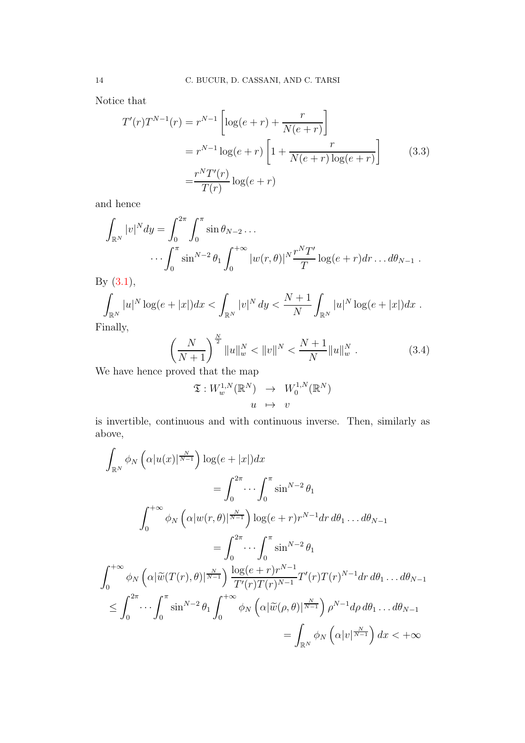Notice that

<span id="page-13-0"></span>
$$
T'(r)T^{N-1}(r) = r^{N-1} \left[ \log(e+r) + \frac{r}{N(e+r)} \right]
$$
  
=  $r^{N-1} \log(e+r) \left[ 1 + \frac{r}{N(e+r) \log(e+r)} \right]$  (3.3)  
=  $\frac{r^N T'(r)}{T(r)} \log(e+r)$ 

and hence

$$
\int_{\mathbb{R}^N} |v|^N dy = \int_0^{2\pi} \int_0^{\pi} \sin \theta_{N-2} \dots
$$

$$
\dots \int_0^{\pi} \sin^{N-2} \theta_1 \int_0^{+\infty} |w(r, \theta)|^N \frac{r^N T'}{T} \log(e+r) dr \dots d\theta_{N-1}.
$$

By [\(3.1\)](#page-12-0),

$$
\int_{\mathbb{R}^N} |u|^N \log(e+|x|) dx < \int_{\mathbb{R}^N} |v|^N dy < \frac{N+1}{N} \int_{\mathbb{R}^N} |u|^N \log(e+|x|) dx.
$$

Finally,

<span id="page-13-1"></span>
$$
\left(\frac{N}{N+1}\right)^{\frac{N}{2}}\|u\|_{w}^{N} < \|v\|^{N} < \frac{N+1}{N}\|u\|_{w}^{N} \tag{3.4}
$$

We have hence proved that the map

$$
\mathfrak{T}: W_w^{1,N}(\mathbb{R}^N) \rightarrow W_0^{1,N}(\mathbb{R}^N)
$$
  

$$
u \mapsto v
$$

is invertible, continuous and with continuous inverse. Then, similarly as above,

$$
\int_{\mathbb{R}^N} \phi_N\left(\alpha |u(x)|^{\frac{N}{N-1}}\right) \log(e+|x|) dx
$$
\n
$$
= \int_0^{2\pi} \cdots \int_0^{\pi} \sin^{N-2}\theta_1
$$
\n
$$
\int_0^{+\infty} \phi_N\left(\alpha |w(r,\theta)|^{\frac{N}{N-1}}\right) \log(e+r)r^{N-1}dr d\theta_1 \dots d\theta_{N-1}
$$
\n
$$
= \int_0^{2\pi} \cdots \int_0^{\pi} \sin^{N-2}\theta_1
$$
\n
$$
\int_0^{+\infty} \phi_N\left(\alpha |\widetilde{w}(T(r),\theta)|^{\frac{N}{N-1}}\right) \frac{\log(e+r)r^{N-1}}{T'(r)T(r)^{N-1}} T'(r)T(r)^{N-1}dr d\theta_1 \dots d\theta_{N-1}
$$
\n
$$
\leq \int_0^{2\pi} \cdots \int_0^{\pi} \sin^{N-2}\theta_1 \int_0^{+\infty} \phi_N\left(\alpha |\widetilde{w}(\rho,\theta)|^{\frac{N}{N-1}}\right) \rho^{N-1} d\rho d\theta_1 \dots d\theta_{N-1}
$$
\n
$$
= \int_{\mathbb{R}^N} \phi_N\left(\alpha |v|^{\frac{N}{N-1}}\right) dx < +\infty
$$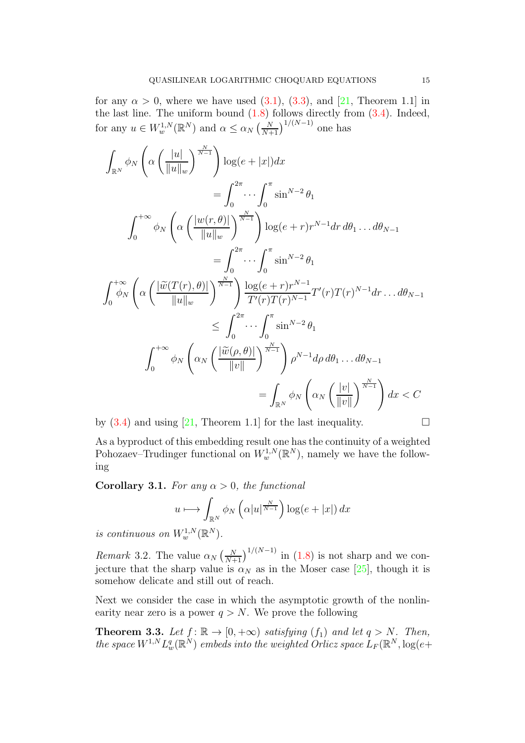for any  $\alpha > 0$ , where we have used  $(3.1)$ ,  $(3.3)$ , and  $[21$ , Theorem 1.1 in the last line. The uniform bound  $(1.8)$  follows directly from  $(3.4)$ . Indeed, for any  $u \in W_w^{1,N}(\mathbb{R}^N)$  and  $\alpha \leq \alpha_N \left(\frac{N}{N+1}\right)^{1/(N-1)}$  one has

$$
\int_{\mathbb{R}^N} \phi_N \left( \alpha \left( \frac{|u|}{||u||_w} \right)^{\frac{N}{N-1}} \right) \log(e + |x|) dx
$$
\n
$$
= \int_0^{2\pi} \cdots \int_0^{\pi} \sin^{N-2} \theta_1
$$
\n
$$
\int_0^{+\infty} \phi_N \left( \alpha \left( \frac{|w(r, \theta)|}{||u||_w} \right)^{\frac{N}{N-1}} \right) \log(e + r) r^{N-1} dr d\theta_1 \dots d\theta_{N-1}
$$
\n
$$
= \int_0^{2\pi} \cdots \int_0^{\pi} \sin^{N-2} \theta_1
$$
\n
$$
\int_0^{+\infty} \phi_N \left( \alpha \left( \frac{|\widetilde{w}(T(r), \theta)|}{||u||_w} \right)^{\frac{N}{N-1}} \right) \frac{\log(e + r) r^{N-1}}{T'(r) T(r)^{N-1}} T'(r) T(r)^{N-1} dr \dots d\theta_{N-1}
$$
\n
$$
\leq \int_0^{2\pi} \cdots \int_0^{\pi} \sin^{N-2} \theta_1
$$
\n
$$
\int_0^{+\infty} \phi_N \left( \alpha_N \left( \frac{|\widetilde{w}(\rho, \theta)|}{||v||} \right)^{\frac{N}{N-1}} \right) \rho^{N-1} d\rho d\theta_1 \dots d\theta_{N-1}
$$
\n
$$
= \int_{\mathbb{R}^N} \phi_N \left( \alpha_N \left( \frac{|v|}{||v||} \right)^{\frac{N}{N-1}} \right) dx < C
$$

by  $(3.4)$  and using  $[21,$  Theorem 1.1 for the last inequality.

As a byproduct of this embedding result one has the continuity of a weighted Pohozaev–Trudinger functional on  $W_w^{1,N}(\mathbb{R}^N)$ , namely we have the following

<span id="page-14-1"></span>**Corollary 3.1.** *For any*  $\alpha > 0$ *, the functional* 

$$
u \longmapsto \int_{\mathbb{R}^N} \phi_N\left(\alpha|u|^{\frac{N}{N-1}}\right) \log(e+|x|) \, dx
$$

*is continuous on*  $W_w^{1,N}(\mathbb{R}^N)$ .

*Remark* 3.2. The value  $\alpha_N \left(\frac{N}{N+1}\right)^{1/(N-1)}$  in [\(1.8\)](#page-4-0) is not sharp and we conjecture that the sharp value is  $\alpha_N$  as in the Moser case [\[25\]](#page-30-9), though it is somehow delicate and still out of reach.

Next we consider the case in which the asymptotic growth of the nonlinearity near zero is a power  $q > N$ . We prove the following

<span id="page-14-0"></span>**Theorem 3.3.** Let  $f: \mathbb{R} \to [0, +\infty)$  *satisfying*  $(f_1)$  *and let*  $q > N$ *. Then, the space*  $W^{1,N} L_w^q(\mathbb{R}^N)$  *embeds into the weighted Orlicz space*  $L_F(\mathbb{R}^N, \log(e+\gamma))$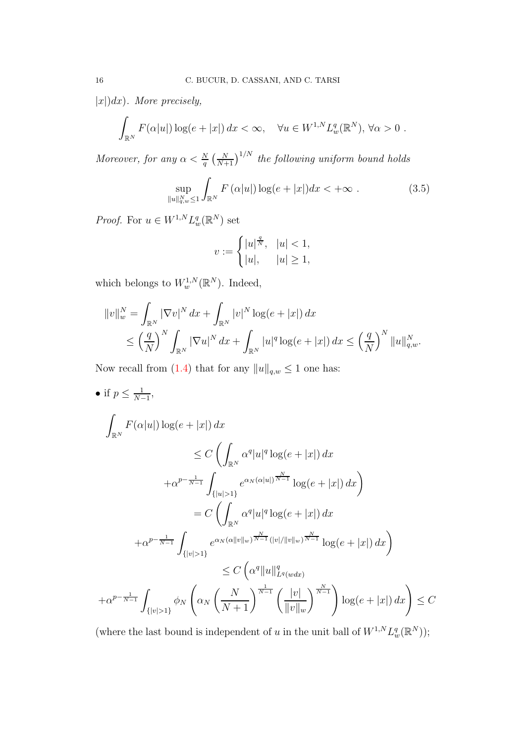|x|)dx)*. More precisely,*

$$
\int_{\mathbb{R}^N} F(\alpha|u|) \log(e+|x|) dx < \infty, \quad \forall u \in W^{1,N} L^q_w(\mathbb{R}^N), \forall \alpha > 0.
$$

*Moreover, for any*  $\alpha < \frac{N}{q} \left( \frac{N}{N+1} \right)^{1/N}$  *the following uniform bound holds* 

$$
\sup_{\|u\|_{q,w}^N\le 1} \int_{\mathbb{R}^N} F\left(\alpha|u|\right) \log(e+|x|) dx < +\infty \tag{3.5}
$$

*Proof.* For  $u \in W^{1,N} L_w^q(\mathbb{R}^N)$  set

$$
v := \begin{cases} |u|^{\frac{q}{N}}, & |u| < 1, \\ |u|, & |u| \ge 1, \end{cases}
$$

which belongs to  $W_w^{1,N}(\mathbb{R}^N)$ . Indeed,

$$
||v||_w^N = \int_{\mathbb{R}^N} |\nabla v|^N dx + \int_{\mathbb{R}^N} |v|^N \log(e + |x|) dx
$$
  
\$\leq \left(\frac{q}{N}\right)^N \int\_{\mathbb{R}^N} |\nabla u|^N dx + \int\_{\mathbb{R}^N} |u|^q \log(e + |x|) dx \leq \left(\frac{q}{N}\right)^N ||u||\_{q,w}^N.\$

Now recall from [\(1.4\)](#page-2-0) that for any  $||u||_{q,w} \leq 1$  one has:

• if  $p \leq \frac{1}{N-1}$  $\frac{1}{N-1}$ Z  $\int_{\mathbb{R}^N} F(\alpha|u|) \log(e+|x|) \, dx$  $\leq C$  $\sqrt{2}$  $\mathbb{R}^N$  $\alpha^q |u|^q \log(e + |x|) dx$  $+\alpha^{p-\frac{1}{N-1}}$  $\{|u|>1\}$  $e^{\alpha_N(\alpha|u|)\frac{N}{N-1}}$  $\log(e+|x|)\,dx\bigg)$  $= C$  $\sqrt{2}$  $\mathbb{R}^N$  $\alpha^q |u|^q \log(e + |x|) dx$  $+\alpha^{p-\frac{1}{N-1}}$ Z  ${|v|>1}$  $e^{\alpha_N (\alpha \|v\|_w)^{\frac{N}{N-1}} (\|v\|_w\|_w)^{\frac{N}{N-1}}}$  $\log(e+|x|)\,dx\bigg)$  $\leq C \left( \alpha^q \|u\|_L^q \right)$  $L^q(wdx)$  $+\alpha^{p-\frac{1}{N-1}}$ Z  ${|v|>1}$  $\phi_N$  $\sqrt{ }$  $\alpha_N$  $\left(\frac{N}{N+1}\right)^{\frac{1}{N-1}} \left(\frac{|v|}{\|v\|}\right)$  $||v||_w$  $\left(\int_{N-1}^{N}\right)\log(e+|x|) dx\right)\leq C$ 

(where the last bound is independent of u in the unit ball of  $W^{1,N} L_w^q(\mathbb{R}^N)$ );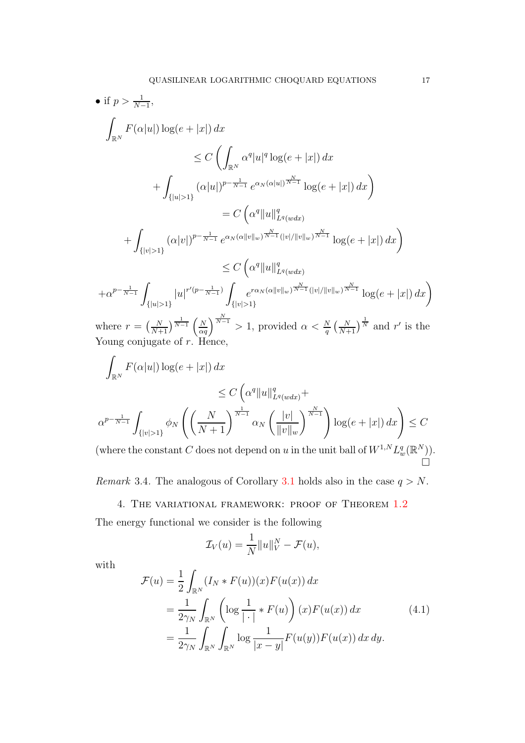• if 
$$
p > \frac{1}{N-1}
$$
,  
\n
$$
\int_{\mathbb{R}^N} F(\alpha|u|) \log(e+|x|) dx
$$
\n
$$
\leq C \left( \int_{\mathbb{R}^N} \alpha^q |u|^q \log(e+|x|) dx \right.
$$
\n
$$
+ \int_{\{|u|>1\}} (\alpha|u|)^{p-\frac{1}{N-1}} e^{\alpha_N(\alpha|u|)^{\frac{N}{N-1}}} \log(e+|x|) dx
$$
\n
$$
= C \left( \alpha^q \|u\|_{L^q(wdx)}^q \right).
$$
\n
$$
+ \int_{\{|v|>1\}} (\alpha|v|)^{p-\frac{1}{N-1}} e^{\alpha_N(\alpha||v||_w)^{\frac{N}{N-1}} (|v|/||v||_w)^{\frac{N}{N-1}}} \log(e+|x|) dx
$$
\n
$$
+ \alpha^{p-\frac{1}{N-1}} \int_{\{|u|>1\}} |u|^{r'(p-\frac{1}{N-1})} \int_{\{|v|>1\}} e^{r\alpha_N(\alpha||v||_w)^{\frac{N}{N-1}} (|v|/||v||_w)^{\frac{N}{N-1}}} \log(e+|x|) dx
$$
\nwhere  $r = \left(\frac{N}{N+1}\right)^{\frac{1}{N-1}} \left(\frac{N}{\alpha q}\right)^{\frac{N}{N-1}} > 1$ , provided  $\alpha < \frac{N}{q} \left(\frac{N}{N+1}\right)^{\frac{1}{N}} \text{ and } r' \text{ is the}$   
\nYoung conjugate of  $r$ . Hence,  
\n
$$
\int_{\mathbb{R}^N} F(\alpha|u|) \log(e+|x|) dx
$$
\n
$$
\leq C \left(\alpha^q \|u\|_q^q \right).
$$

$$
\leq C \left( \alpha^{q} \|u\|_{L^{q}(wdx)}^{q} + \alpha^{p-\frac{1}{N-1}} \int_{\{|v|>1\}} \phi_N \left( \left( \frac{N}{N+1} \right)^{\frac{1}{N-1}} \alpha_N \left( \frac{|v|}{\|v\|_{w}} \right)^{\frac{N}{N-1}} \right) \log(e+|x|) dx \right) \leq C
$$
\n(where the constant  $C$  does not depend on  $u$  in the unit ball of  $W^{1,N} L^{q}(\mathbb{R}^N)$ )

(where the constant C does not depend on u in the unit ball of  $W^{1,N}L$  $\frac{q}{w}(\mathbb{R}^N)$ . Ó

<span id="page-16-0"></span>*Remark* 3.4. The analogous of Corollary [3.1](#page-14-1) holds also in the case  $q > N$ .

# 4. The variational framework: proof of Theorem [1.2](#page-4-1)

The energy functional we consider is the following

$$
\mathcal{I}_V(u) = \frac{1}{N} ||u||_V^N - \mathcal{F}(u),
$$

with

<span id="page-16-1"></span>
$$
\mathcal{F}(u) = \frac{1}{2} \int_{\mathbb{R}^N} (I_N * F(u))(x) F(u(x)) dx \n= \frac{1}{2\gamma_N} \int_{\mathbb{R}^N} \left( \log \frac{1}{|\cdot|} * F(u) \right) (x) F(u(x)) dx \n= \frac{1}{2\gamma_N} \int_{\mathbb{R}^N} \int_{\mathbb{R}^N} \log \frac{1}{|x - y|} F(u(y)) F(u(x)) dx dy.
$$
\n(4.1)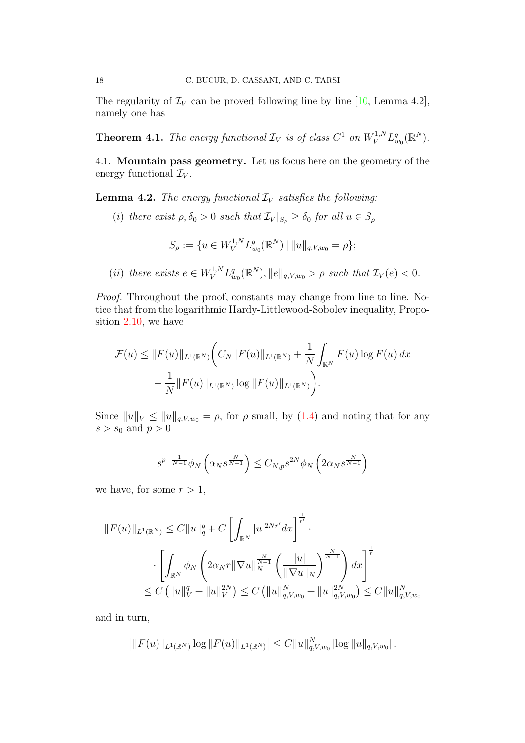The regularity of  $\mathcal{I}_V$  can be proved following line by line [\[10,](#page-29-5) Lemma 4.2], namely one has

**Theorem 4.1.** The energy functional  $\mathcal{I}_V$  is of class  $C^1$  on  $W_V^{1,N} L^q_{w_0}(\mathbb{R}^N)$ .

<span id="page-17-0"></span>4.1. Mountain pass geometry. Let us focus here on the geometry of the energy functional  $\mathcal{I}_V$ .

<span id="page-17-1"></span>**Lemma 4.2.** *The energy functional*  $\mathcal{I}_V$  *satisfies the following:* 

(i) there exist  $\rho, \delta_0 > 0$  such that  $\mathcal{I}_V|_{S_\rho} \geq \delta_0$  for all  $u \in S_\rho$ 

$$
S_{\rho} := \{ u \in W_V^{1,N} L_{w_0}^q(\mathbb{R}^N) \mid ||u||_{q, V, w_0} = \rho \};
$$

(*ii*) there exists  $e \in W_V^{1,N} L_{w_0}^q(\mathbb{R}^N), ||e||_{q,V,w_0} > \rho$  such that  $\mathcal{I}_V(e) < 0$ .

*Proof.* Throughout the proof, constants may change from line to line. Notice that from the logarithmic Hardy-Littlewood-Sobolev inequality, Proposition [2.10,](#page-9-0) we have

$$
\mathcal{F}(u) \le ||F(u)||_{L^{1}(\mathbb{R}^{N})} \bigg(C_{N}||F(u)||_{L^{1}(\mathbb{R}^{N})} + \frac{1}{N} \int_{\mathbb{R}^{N}} F(u) \log F(u) dx
$$
  
 
$$
- \frac{1}{N} ||F(u)||_{L^{1}(\mathbb{R}^{N})} \log ||F(u)||_{L^{1}(\mathbb{R}^{N})} \bigg).
$$

Since  $||u||_V \le ||u||_{q,V,w_0} = \rho$ , for  $\rho$  small, by [\(1.4\)](#page-2-0) and noting that for any  $s > s_0$  and  $p > 0$ 

$$
s^{p-\frac{1}{N-1}}\phi_N\left(\alpha_N s^{\frac{N}{N-1}}\right)\leq C_{N,p}s^{2N}\phi_N\left(2\alpha_N s^{\frac{N}{N-1}}\right)
$$

we have, for some  $r > 1$ ,

$$
||F(u)||_{L^{1}(\mathbb{R}^{N})} \leq C||u||_{q}^{q} + C\left[\int_{\mathbb{R}^{N}}|u|^{2Nr'}dx\right]^{\frac{1}{r'}}.
$$

$$
\cdot \left[\int_{\mathbb{R}^{N}}\phi_{N}\left(2\alpha_{N}r||\nabla u||_{N}^{\frac{N}{N-1}}\left(\frac{|u|}{||\nabla u||_{N}}\right)^{\frac{N}{N-1}}\right)dx\right]^{\frac{1}{r}}.
$$

$$
\leq C\left(\|u\|_{V}^{q} + \|u\|_{V}^{2N}\right) \leq C\left(\|u\|_{q,V,w_{0}}^{N} + \|u\|_{q,V,w_{0}}^{2N}\right) \leq C||u||_{q,V,w_{0}}^{N}
$$

and in turn,

$$
\left| \|F(u)\|_{L^1(\mathbb{R}^N)} \log \|F(u)\|_{L^1(\mathbb{R}^N)} \right| \leq C \|u\|_{q, V, w_0}^N |\log \|u\|_{q, V, w_0}|.
$$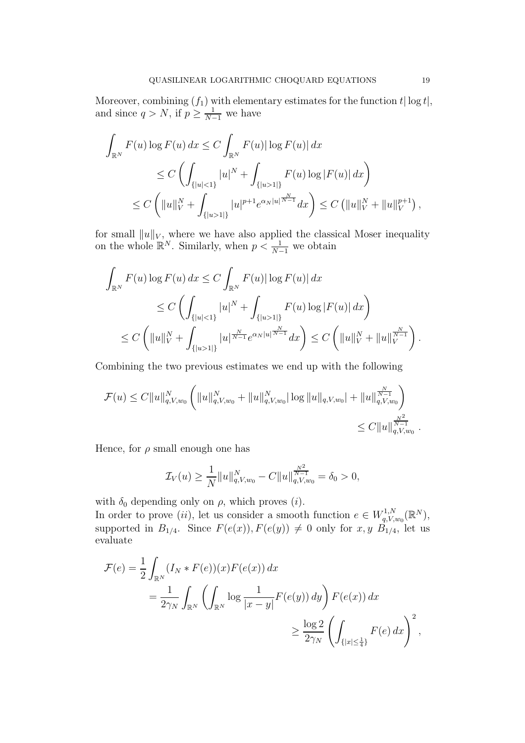Moreover, combining  $(f_1)$  with elementary estimates for the function  $t | \log t |$ , and since  $q > N$ , if  $p \geq \frac{1}{N-1}$  we have

$$
\int_{\mathbb{R}^N} F(u) \log F(u) \, dx \le C \int_{\mathbb{R}^N} F(u) |\log F(u)| \, dx
$$
\n
$$
\le C \left( \int_{\{|u| < 1\}} |u|^N + \int_{\{|u| > 1|\}} F(u) \log |F(u)| \, dx \right)
$$
\n
$$
\le C \left( \|u\|_V^N + \int_{\{|u| > 1|\}} |u|^{p+1} e^{\alpha_N |u|^{\frac{N}{N-1}}} dx \right) \le C \left( \|u\|_V^N + \|u\|_V^{p+1} \right),
$$

for small  $||u||_V$ , where we have also applied the classical Moser inequality on the whole  $\mathbb{R}^N$ . Similarly, when  $p < \frac{1}{N-1}$  we obtain

$$
\int_{\mathbb{R}^N} F(u) \log F(u) dx \le C \int_{\mathbb{R}^N} F(u) |\log F(u)| dx
$$
  
\n
$$
\le C \left( \int_{\{|u| < 1\}} |u|^N + \int_{\{|u| > 1|\}} F(u) \log |F(u)| dx \right)
$$
  
\n
$$
\le C \left( \|u\|_V^N + \int_{\{|u| > 1|\}} |u|^{\frac{N}{N-1}} e^{\alpha_N |u|^{\frac{N}{N-1}}} dx \right) \le C \left( \|u\|_V^N + \|u\|_V^{\frac{N}{N-1}} \right).
$$

Combining the two previous estimates we end up with the following

$$
\mathcal{F}(u) \leq C \|u\|_{q,V,w_0}^N \left( \|u\|_{q,V,w_0}^N + \|u\|_{q,V,w_0}^N |\log \|u\|_{q,V,w_0} + \|u\|_{q,V,w_0}^{\frac{N}{N-1}} \right) \leq C \|u\|_{q,V,w_0}^{\frac{N^2}{N-1}}.
$$

Hence, for  $\rho$  small enough one has

$$
\mathcal{I}_V(u) \ge \frac{1}{N} ||u||_{q,V,w_0}^N - C ||u||_{q,V,w_0}^{\frac{N^2}{N-1}} = \delta_0 > 0,
$$

with  $\delta_0$  depending only on  $\rho$ , which proves (*i*).

In order to prove (ii), let us consider a smooth function  $e \in W_{q,V}^{1,N}$  ${}_{q,V,w_0}^{1,N}(\mathbb{R}^N),$ supported in  $B_{1/4}$ . Since  $F(e(x))$ ,  $F(e(y)) \neq 0$  only for  $x, y$   $B_{1/4}$ , let us evaluate

$$
\mathcal{F}(e) = \frac{1}{2} \int_{\mathbb{R}^N} (I_N * F(e))(x) F(e(x)) dx
$$
  
= 
$$
\frac{1}{2\gamma_N} \int_{\mathbb{R}^N} \left( \int_{\mathbb{R}^N} \log \frac{1}{|x-y|} F(e(y)) dy \right) F(e(x)) dx
$$
  

$$
\geq \frac{\log 2}{2\gamma_N} \left( \int_{\{|x| \leq \frac{1}{4}\}} F(e) dx \right)^2,
$$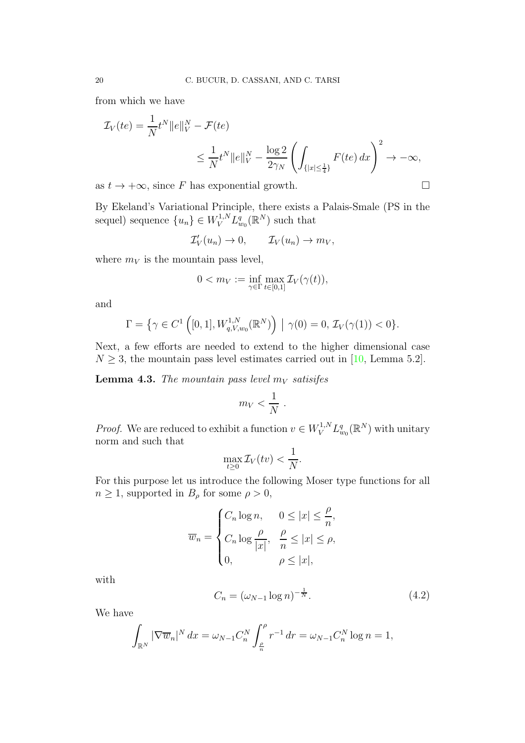from which we have

$$
\mathcal{I}_V(te) = \frac{1}{N}t^N ||e||_V^N - \mathcal{F}(te)
$$
  

$$
\leq \frac{1}{N}t^N ||e||_V^N - \frac{\log 2}{2\gamma_N} \left( \int_{\{|x| \leq \frac{1}{4}\}} F(te) dx \right)^2 \to -\infty,
$$

as  $t \to +\infty$ , since F has exponential growth.

By Ekeland's Variational Principle, there exists a Palais-Smale (PS in the sequel) sequence  $\{u_n\} \in W_V^{1,N} L_{w_0}^q(\mathbb{R}^N)$  such that

$$
\mathcal{I}'_V(u_n) \to 0, \qquad \mathcal{I}_V(u_n) \to m_V,
$$

where  $m_V$  is the mountain pass level,

$$
0 < m_V := \inf_{\gamma \in \Gamma} \max_{t \in [0,1]} \mathcal{I}_V(\gamma(t)),
$$

and

$$
\Gamma = \left\{ \gamma \in C^{1} \left( [0,1], W_{q,V,w_{0}}^{1,N}(\mathbb{R}^{N}) \right) \; \middle| \; \gamma(0) = 0, \, \mathcal{I}_{V}(\gamma(1)) < 0 \right\}.
$$

Next, a few efforts are needed to extend to the higher dimensional case  $N \geq 3$ , the mountain pass level estimates carried out in [\[10,](#page-29-5) Lemma 5.2].

<span id="page-19-1"></span>**Lemma 4.3.** *The mountain pass level*  $m_V$  *satisifes* 

$$
m_V < \frac{1}{N} .
$$

*Proof.* We are reduced to exhibit a function  $v \in W_V^{1,N} L_{w_0}^q(\mathbb{R}^N)$  with unitary norm and such that

$$
\max_{t\geq 0} \mathcal{I}_V(tv) < \frac{1}{N}.
$$

For this purpose let us introduce the following Moser type functions for all  $n \geq 1$ , supported in  $B_{\rho}$  for some  $\rho > 0$ ,

$$
\overline{w}_n = \begin{cases} C_n \log n, & 0 \le |x| \le \frac{\rho}{n}, \\ C_n \log \frac{\rho}{|x|}, & \frac{\rho}{n} \le |x| \le \rho, \\ 0, & \rho \le |x|, \end{cases}
$$

with

<span id="page-19-0"></span>
$$
C_n = (\omega_{N-1} \log n)^{-\frac{1}{N}}.
$$
\n(4.2)

We have

$$
\int_{\mathbb{R}^N} |\nabla \overline{w}_n|^N dx = \omega_{N-1} C_n^N \int_{\frac{\rho}{n}}^{\rho} r^{-1} dr = \omega_{N-1} C_n^N \log n = 1,
$$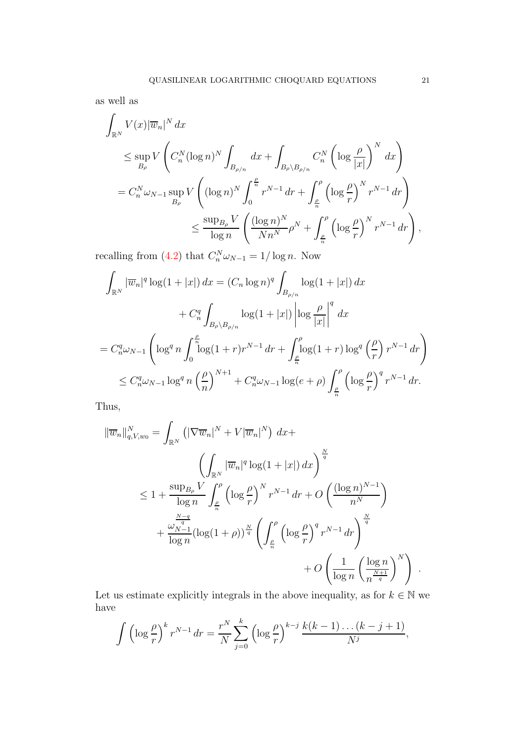as well as

$$
\int_{\mathbb{R}^N} V(x) |\overline{w}_n|^N dx
$$
\n
$$
\leq \sup_{B_{\rho}} V\left(C_n^N (\log n)^N \int_{B_{\rho/n}} dx + \int_{B_{\rho} \setminus B_{\rho/n}} C_n^N (\log \frac{\rho}{|x|})^N dx\right)
$$
\n
$$
= C_n^N \omega_{N-1} \sup_{B_{\rho}} V\left((\log n)^N \int_0^{\frac{\rho}{n}} r^{N-1} dr + \int_{\frac{\rho}{n}}^{\rho} (\log \frac{\rho}{r})^N r^{N-1} dr\right)
$$
\n
$$
\leq \frac{\sup_{B_{\rho}} V}{\log n} \left(\frac{(\log n)^N}{Nn^N} \rho^N + \int_{\frac{\rho}{n}}^{\rho} (\log \frac{\rho}{r})^N r^{N-1} dr\right),
$$

recalling from [\(4.2\)](#page-19-0) that  $C_n^N \omega_{N-1} = 1/\log n$ . Now

$$
\int_{\mathbb{R}^N} |\overline{w}_n|^q \log(1+|x|) dx = (C_n \log n)^q \int_{B_{\rho/n}} \log(1+|x|) dx \n+ C_n^q \int_{B_\rho \setminus B_{\rho/n}} \log(1+|x|) \left| \log \frac{\rho}{|x|} \right|^q dx \n= C_n^q \omega_{N-1} \left( \log^q n \int_0^{\frac{\rho}{n}} \log(1+r) r^{N-1} dr + \int_{\frac{\rho}{n}}^{\rho} \log(1+r) \log^q \left(\frac{\rho}{r}\right) r^{N-1} dr \right) \n\le C_n^q \omega_{N-1} \log^q n \left(\frac{\rho}{n}\right)^{N+1} + C_n^q \omega_{N-1} \log(e+\rho) \int_{\frac{\rho}{n}}^{\rho} \left( \log \frac{\rho}{r} \right)^q r^{N-1} dr.
$$

Thus,

$$
\|\overline{w}_{n}\|_{q,V,w_{0}}^{N} = \int_{\mathbb{R}^{N}} \left( |\nabla \overline{w}_{n}|^{N} + V|\overline{w}_{n}|^{N} \right) dx +
$$
  

$$
\left( \int_{\mathbb{R}^{N}} |\overline{w}_{n}|^{q} \log(1+|x|) dx \right)^{\frac{N}{q}}
$$
  

$$
\leq 1 + \frac{\sup_{B_{\rho}} V}{\log n} \int_{\frac{\rho}{n}}^{\rho} \left( \log \frac{\rho}{r} \right)^{N} r^{N-1} dr + O\left( \frac{(\log n)^{N-1}}{n^{N}} \right)
$$
  

$$
+ \frac{\frac{N-q}{q}}{\log n} (\log(1+\rho))^{\frac{N}{q}} \left( \int_{\frac{\rho}{n}}^{\rho} \left( \log \frac{\rho}{r} \right)^{q} r^{N-1} dr \right)^{\frac{N}{q}}
$$
  

$$
+ O\left( \frac{1}{\log n} \left( \frac{\log n}{n^{\frac{N+1}{q}}} \right)^{N} \right).
$$

Let us estimate explicitly integrals in the above inequality, as for  $k\in\mathbb{N}$  we have

$$
\int \left(\log \frac{\rho}{r}\right)^k r^{N-1} dr = \frac{r^N}{N} \sum_{j=0}^k \left(\log \frac{\rho}{r}\right)^{k-j} \frac{k(k-1)\dots(k-j+1)}{N^j},
$$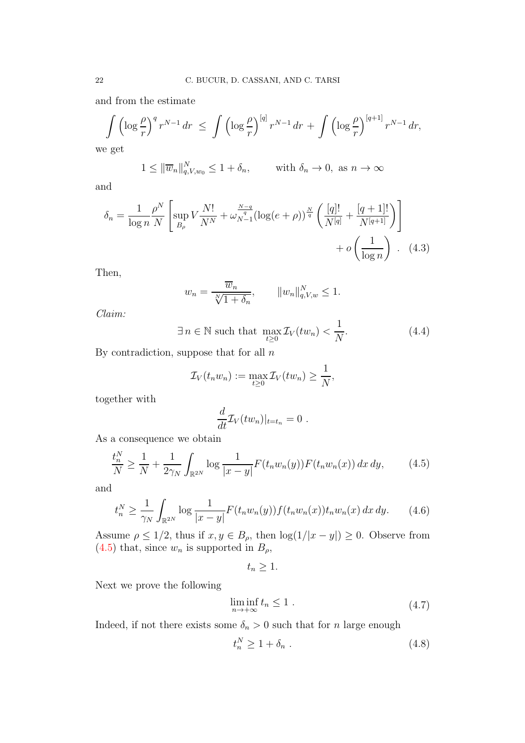and from the estimate

$$
\int \left(\log \frac{\rho}{r}\right)^q r^{N-1} dr \le \int \left(\log \frac{\rho}{r}\right)^{[q]} r^{N-1} dr + \int \left(\log \frac{\rho}{r}\right)^{[q+1]} r^{N-1} dr,
$$

we get

$$
1 \le ||\overline{w}_n||_{q,V,w_0}^N \le 1 + \delta_n, \quad \text{with } \delta_n \to 0, \text{ as } n \to \infty
$$

and

$$
\delta_n = \frac{1}{\log n} \frac{\rho^N}{N} \left[ \sup_{B_\rho} V \frac{N!}{N^N} + \omega_{N-1}^{\frac{N-q}{q}} (\log(e+\rho))^{\frac{N}{q}} \left( \frac{[q]!}{N^{[q]}} + \frac{[q+1]!}{N^{[q+1]}} \right) \right] + o\left(\frac{1}{\log n}\right). \tag{4.3}
$$

Then,

<span id="page-21-4"></span>
$$
w_n = \frac{\overline{w}_n}{\sqrt[n]{1 + \delta_n}}, \qquad ||w_n||_{q, V, w}^N \le 1.
$$

*Claim:*

$$
\exists n \in \mathbb{N} \text{ such that } \max_{t \ge 0} \mathcal{I}_V(tw_n) < \frac{1}{N}.\tag{4.4}
$$

By contradiction, suppose that for all  $n$ 

$$
\mathcal{I}_V(t_n w_n) := \max_{t \geq 0} \mathcal{I}_V(t w_n) \geq \frac{1}{N},
$$

together with

$$
\frac{d}{dt}\mathcal{I}_V(tw_n)|_{t=t_n}=0.
$$

As a consequence we obtain

<span id="page-21-0"></span>
$$
\frac{t_n^N}{N} \ge \frac{1}{N} + \frac{1}{2\gamma_N} \int_{\mathbb{R}^{2N}} \log \frac{1}{|x - y|} F(t_n w_n(y)) F(t_n w_n(x)) dx dy, \qquad (4.5)
$$

and

<span id="page-21-1"></span>
$$
t_n^N \ge \frac{1}{\gamma_N} \int_{\mathbb{R}^{2N}} \log \frac{1}{|x - y|} F(t_n w_n(y)) f(t_n w_n(x)) t_n w_n(x) dx dy.
$$
 (4.6)

Assume  $\rho \leq 1/2$ , thus if  $x, y \in B_\rho$ , then  $\log(1/|x-y|) \geq 0$ . Observe from [\(4.5\)](#page-21-0) that, since  $w_n$  is supported in  $B_\rho$ ,

 $t_n \geq 1$ .

Next we prove the following

<span id="page-21-3"></span>
$$
\liminf_{n \to +\infty} t_n \le 1 . \tag{4.7}
$$

Indeed, if not there exists some  $\delta_n > 0$  such that for n large enough

<span id="page-21-2"></span>
$$
t_n^N \ge 1 + \delta_n \tag{4.8}
$$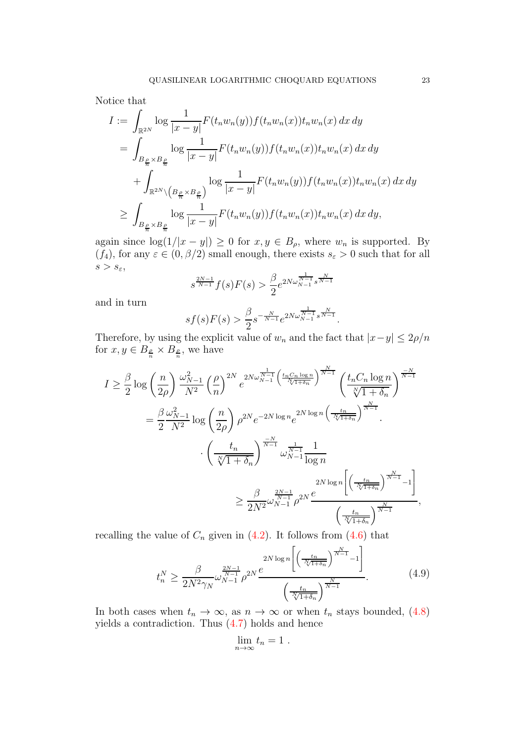Notice that

$$
I := \int_{\mathbb{R}^{2N}} \log \frac{1}{|x-y|} F(t_n w_n(y)) f(t_n w_n(x)) t_n w_n(x) dx dy
$$
  
\n
$$
= \int_{B_{\frac{\rho}{n}} \times B_{\frac{\rho}{n}}} \log \frac{1}{|x-y|} F(t_n w_n(y)) f(t_n w_n(x)) t_n w_n(x) dx dy
$$
  
\n
$$
+ \int_{\mathbb{R}^{2N} \setminus (B_{\frac{\rho}{n}} \times B_{\frac{\rho}{n}})} \log \frac{1}{|x-y|} F(t_n w_n(y)) f(t_n w_n(x)) t_n w_n(x) dx dy
$$
  
\n
$$
\geq \int_{B_{\frac{\rho}{n}} \times B_{\frac{\rho}{n}}} \log \frac{1}{|x-y|} F(t_n w_n(y)) f(t_n w_n(x)) t_n w_n(x) dx dy,
$$

again since  $\log(1/|x-y|) \ge 0$  for  $x, y \in B_\rho$ , where  $w_n$  is supported. By  $(f_4)$ , for any  $\varepsilon \in (0, \beta/2)$  small enough, there exists  $s_{\varepsilon} > 0$  such that for all  $s > s_{\varepsilon},$ 

$$
s^{\frac{2N-1}{N-1}}f(s)F(s) > \frac{\beta}{2}e^{2N\omega_{N-1}^{\frac{1}{N-1}}s^{\frac{N}{N-1}}}
$$

and in turn

$$
sf(s)F(s) > \frac{\beta}{2}s^{-\frac{N}{N-1}}e^{2N\omega_{N-1}^{\frac{1}{N-1}}s^{\frac{N}{N-1}}}.
$$

Therefore, by using the explicit value of  $w_n$  and the fact that  $|x-y| \leq 2\rho/n$ for  $x, y \in B_{\frac{\rho}{n}} \times B_{\frac{\rho}{n}}$ , we have

$$
I \geq \frac{\beta}{2} \log \left(\frac{n}{2\rho}\right) \frac{\omega_{N-1}^2}{N^2} \left(\frac{\rho}{n}\right)^{2N} e^{2N\omega_{N-1}^{\frac{1}{N-1}} \left(\frac{t_n C_n \log n}{N(1+\delta_n)}\right)^{\frac{N}{N-1}}} \left(\frac{t_n C_n \log n}{\sqrt[N]{1+\delta_n}}\right)^{\frac{-N}{N-1}}}
$$
  

$$
= \frac{\beta}{2} \frac{\omega_{N-1}^2}{N^2} \log \left(\frac{n}{2\rho}\right) \rho^{2N} e^{-2N \log n} e^{2N \log n} \left(\frac{t_n}{N(1+\delta_n)}\right)^{\frac{N}{N-1}}.
$$

$$
\cdot \left(\frac{t_n}{\sqrt[N]{1+\delta_n}}\right)^{\frac{-N}{N-1}} \omega_{N-1}^{\frac{1}{N-1}} \frac{1}{\log n}
$$

$$
\geq \frac{\beta}{2N^2} \omega_{N-1}^{\frac{2N-1}{N-1}} \rho^{2N} \frac{e}{\left(\frac{t_n}{N(1+\delta_n)}\right)^{\frac{N}{N-1}} - 1}\right] \left(\frac{t_n}{\sqrt[N]{1+\delta_n}}\right)^{\frac{N}{N-1}},
$$

recalling the value of  $C_n$  given in [\(4.2\)](#page-19-0). It follows from [\(4.6\)](#page-21-1) that

<span id="page-22-0"></span>
$$
t_n^N \ge \frac{\beta}{2N^2 \gamma_N} \omega_{N-1}^{\frac{2N-1}{N-1}} \rho^{2N} \frac{e^{-\frac{2N}{N(1+\delta_n)}}}{\left(\frac{t_n}{\sqrt{1+\delta_n}}\right)^{\frac{N}{N-1}}-1}.
$$
\n
$$
(4.9)
$$

In both cases when  $t_n \to \infty$ , as  $n \to \infty$  or when  $t_n$  stays bounded, [\(4.8\)](#page-21-2) yields a contradiction. Thus [\(4.7\)](#page-21-3) holds and hence

$$
\lim_{n\to\infty}t_n=1.
$$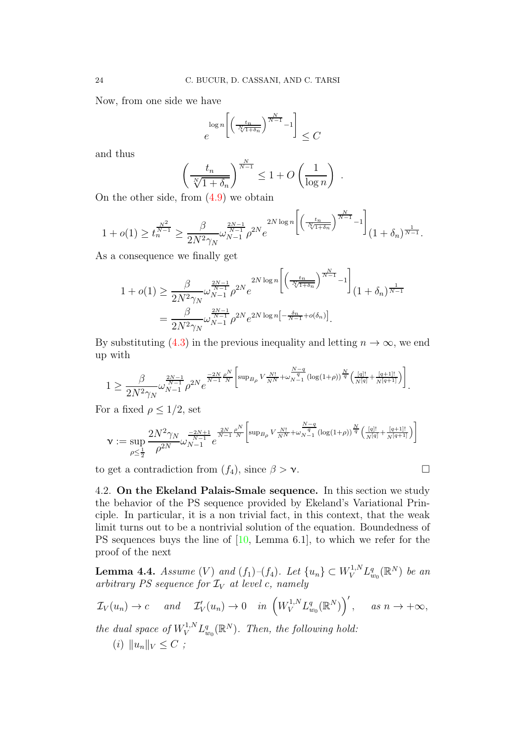Now, from one side we have

$$
e^{\log n \left[\left(\frac{t_n}{\sqrt[n]{1+\delta_n}}\right)^{\frac{N}{N-1}}-1\right]} \leq C
$$

and thus

$$
\left(\frac{t_n}{\sqrt[n]{1+\delta_n}}\right)^{\frac{N}{N-1}} \le 1 + O\left(\frac{1}{\log n}\right) .
$$

On the other side, from [\(4.9\)](#page-22-0) we obtain

$$
1 + o(1) \ge t_n^{\frac{N^2}{N-1}} \ge \frac{\beta}{2N^2 \gamma_N} \omega_{N-1}^{\frac{2N-1}{N-1}} \rho^{2N} e^{-2N \log n \left[ \left( \frac{t_n}{N(1+\delta_n)} \right)^{\frac{N}{N-1}} - 1 \right]} (1+\delta_n)^{\frac{1}{N-1}}.
$$

As a consequence we finally get

$$
1 + o(1) \ge \frac{\beta}{2N^2 \gamma_N} \omega_{N-1}^{\frac{2N-1}{N-1}} \rho^{2N} e^{\frac{2N \log n \left[ \left( \frac{t_n}{N(1+\delta_n)} \right)^{N-1} - 1 \right]}{2N^2 \gamma_N}}}{\frac{\beta}{2N^2 \gamma_N} \omega_{N-1}^{\frac{2N-1}{N-1}} \rho^{2N} e^{2N \log n \left[ -\frac{\delta_n}{N-1} + o(\delta_n) \right]}}.
$$

By substituting [\(4.3\)](#page-21-4) in the previous inequality and letting  $n \to \infty$ , we end up with

$$
1 \geq \frac{\beta}{2N^2\gamma_N} \omega_{N-1}^{\frac{2N-1}{N-1}} \rho^{2N} e^{\frac{-2N}{N-1}\frac{\rho^N}{N}} \Big[ \sup_{B\rho} V_{\frac{N!}{N^N}} + \omega_{N-1}^{\frac{N-q}{q}} (\log(1+\rho))^{\frac{N}{q}} \left( \frac{[q]!}{N^{[q]}}, \frac{[q+1]!}{N^{[q+1]}} \right) \Big].
$$

For a fixed  $\rho \leq 1/2$ , set

$$
\nu := \sup_{\rho \leq \frac{1}{2}} \frac{2N^2 \gamma_N}{\rho^{2N}} \omega_{N-1}^{\frac{-2N+1}{N-1}} e^{\frac{2N}{N-1} \frac{\rho^N}{N}} \bigg[ \sup_{B\rho} V_{\frac{N!}{N^N}} + \omega_{N-1}^{\frac{N-q}{q}} (\log(1+\rho))^{\frac{N}{q}} \left( \frac{[q]!}{N^{[q]}} + \frac{[q+1]!}{N^{[q+1]}} \right) \bigg]
$$

to get a contradiction from  $(f_4)$ , since  $\beta > \nu$ .

$$
\Box
$$

4.2. On the Ekeland Palais-Smale sequence. In this section we study the behavior of the PS sequence provided by Ekeland's Variational Principle. In particular, it is a non trivial fact, in this context, that the weak limit turns out to be a nontrivial solution of the equation. Boundedness of PS sequences buys the line of  $[10, \text{ Lemma } 6.1]$ , to which we refer for the proof of the next

<span id="page-23-0"></span>**Lemma 4.4.** *Assume*  $(V)$  *and*  $(f_1)$ – $(f_4)$ *. Let*  $\{u_n\} \subset W_V^{1,N} L^q_{w_0}(\mathbb{R}^N)$  *be an*  $arbitrary PS sequence for  $\mathcal{I}_V$  at level c, namely$ 

$$
\mathcal{I}_V(u_n) \to c \quad \text{and} \quad \mathcal{I}'_V(u_n) \to 0 \quad \text{in} \left(W_V^{1,N} L_{w_0}^q(\mathbb{R}^N)\right)', \quad \text{as } n \to +\infty,
$$

*the dual space of*  $W_V^{1,N} L_{w_0}^q(\mathbb{R}^N)$ *. Then, the following hold:* 

(*i*)  $||u_n||_V < C$ ;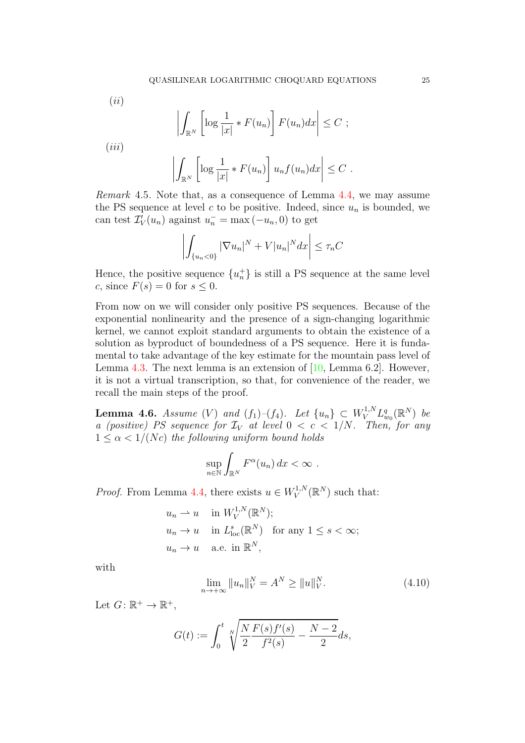$(ii)$ 

$$
\left| \int_{\mathbb{R}^N} \left[ \log \frac{1}{|x|} * F(u_n) \right] F(u_n) dx \right| \leq C ;
$$

 $(iii)$ 

$$
\left| \int_{\mathbb{R}^N} \left[ \log \frac{1}{|x|} * F(u_n) \right] u_n f(u_n) dx \right| \leq C.
$$

*Remark* 4.5*.* Note that, as a consequence of Lemma [4.4,](#page-23-0) we may assume the PS sequence at level c to be positive. Indeed, since  $u_n$  is bounded, we can test  $\mathcal{I}'_V(u_n)$  against  $u_n^- = \max(-u_n, 0)$  to get

$$
\left| \int_{\{u_n < 0\}} |\nabla u_n|^N + V|u_n|^N dx \right| \le \tau_n C
$$

Hence, the positive sequence  ${u_n^+}$  is still a PS sequence at the same level c, since  $F(s) = 0$  for  $s \leq 0$ .

From now on we will consider only positive PS sequences. Because of the exponential nonlinearity and the presence of a sign-changing logarithmic kernel, we cannot exploit standard arguments to obtain the existence of a solution as byproduct of boundedness of a PS sequence. Here it is fundamental to take advantage of the key estimate for the mountain pass level of Lemma [4.3.](#page-19-1) The next lemma is an extension of  $[10, \text{Lemma 6.2}]$ . However, it is not a virtual transcription, so that, for convenience of the reader, we recall the main steps of the proof.

<span id="page-24-1"></span>**Lemma 4.6.** *Assume* (V) and  $(f_1)$ – $(f_4)$ . Let  $\{u_n\} \subset W^{1,N}_V L^q_{w_0}(\mathbb{R}^N)$  be *a (positive) PS sequence for*  $\mathcal{I}_V$  *at level*  $0 < c < 1/N$ *. Then, for any*  $1 \leq \alpha \leq 1/(Nc)$  the following uniform bound holds

$$
\sup_{n\in\mathbb{N}}\int_{\mathbb{R}^N}F^{\alpha}(u_n)\,dx<\infty.
$$

*Proof.* From Lemma [4.4,](#page-23-0) there exists  $u \in W_V^{1,N}$  $V^{1,N}(\mathbb{R}^N)$  such that:

$$
u_n \rightharpoonup u \quad \text{in } W_V^{1,N}(\mathbb{R}^N);
$$
  
\n
$$
u_n \to u \quad \text{in } L^s_{\text{loc}}(\mathbb{R}^N) \quad \text{for any } 1 \le s < \infty;
$$
  
\n
$$
u_n \to u \quad \text{a.e. in } \mathbb{R}^N,
$$

with

<span id="page-24-0"></span>
$$
\lim_{n \to +\infty} \|u_n\|_V^N = A^N \ge \|u\|_V^N. \tag{4.10}
$$

Let  $G: \mathbb{R}^+ \to \mathbb{R}^+,$ 

$$
G(t) := \int_0^t \sqrt[N]{\frac{N F(s) f'(s)}{f^2(s)}} - \frac{N-2}{2} ds,
$$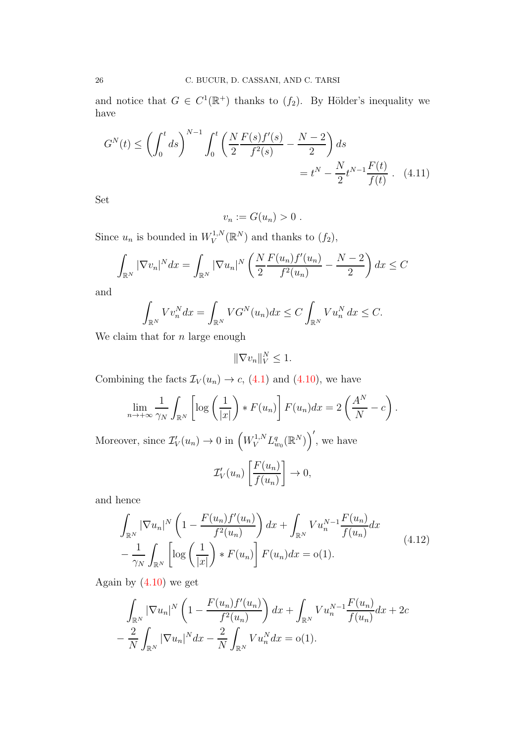and notice that  $G \in C^1(\mathbb{R}^+)$  thanks to  $(f_2)$ . By Hölder's inequality we have

$$
G^{N}(t) \leq \left(\int_{0}^{t} ds\right)^{N-1} \int_{0}^{t} \left(\frac{N F(s) f'(s)}{2 f^{2}(s)} - \frac{N-2}{2}\right) ds
$$
  
=  $t^{N} - \frac{N}{2} t^{N-1} \frac{F(t)}{f(t)}$  (4.11)

Set

<span id="page-25-0"></span>
$$
v_n := G(u_n) > 0.
$$

Since  $u_n$  is bounded in  $W_V^{1,N}$  $V^{1,N}(\mathbb{R}^N)$  and thanks to  $(f_2)$ ,

$$
\int_{\mathbb{R}^N} |\nabla v_n|^N dx = \int_{\mathbb{R}^N} |\nabla u_n|^N \left( \frac{N}{2} \frac{F(u_n) f'(u_n)}{f^2(u_n)} - \frac{N-2}{2} \right) dx \le C
$$

and

$$
\int_{\mathbb{R}^N} V v_n^N dx = \int_{\mathbb{R}^N} V G^N(u_n) dx \le C \int_{\mathbb{R}^N} V u_n^N dx \le C.
$$

We claim that for  $n$  large enough

 $\|\nabla v_n\|_V^N \leq 1.$ 

Combining the facts  $\mathcal{I}_{V}(u_n) \to c$ , [\(4.1\)](#page-16-1) and [\(4.10\)](#page-24-0), we have

$$
\lim_{n \to +\infty} \frac{1}{\gamma_N} \int_{\mathbb{R}^N} \left[ \log \left( \frac{1}{|x|} \right) * F(u_n) \right] F(u_n) dx = 2 \left( \frac{A^N}{N} - c \right).
$$

Moreover, since  $\mathcal{I}'_V(u_n) \to 0$  in  $\left(W^{1,N}_V L^q_{w_0}(\mathbb{R}^N)\right)'$ , we have

$$
\mathcal{I}'_V(u_n)\left[\frac{F(u_n)}{f(u_n)}\right] \to 0,
$$

and hence

$$
\int_{\mathbb{R}^N} |\nabla u_n|^N \left( 1 - \frac{F(u_n) f'(u_n)}{f^2(u_n)} \right) dx + \int_{\mathbb{R}^N} V u_n^{N-1} \frac{F(u_n)}{f(u_n)} dx \n- \frac{1}{\gamma_N} \int_{\mathbb{R}^N} \left[ \log \left( \frac{1}{|x|} \right) * F(u_n) \right] F(u_n) dx = o(1).
$$
\n(4.12)

Again by  $(4.10)$  we get

$$
\int_{\mathbb{R}^N} |\nabla u_n|^N \left(1 - \frac{F(u_n) f'(u_n)}{f^2(u_n)}\right) dx + \int_{\mathbb{R}^N} V u_n^{N-1} \frac{F(u_n)}{f(u_n)} dx + 2c \n- \frac{2}{N} \int_{\mathbb{R}^N} |\nabla u_n|^N dx - \frac{2}{N} \int_{\mathbb{R}^N} V u_n^N dx = o(1).
$$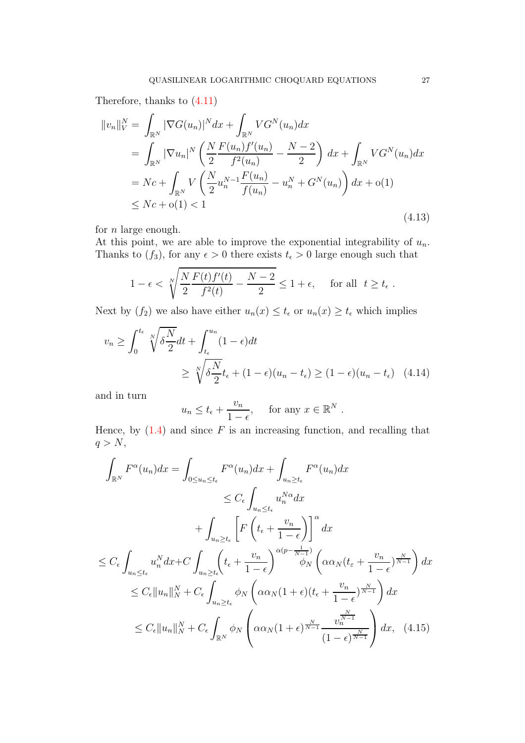Therefore, thanks to [\(4.11\)](#page-25-0)

<span id="page-26-0"></span>
$$
||v_n||_V^N = \int_{\mathbb{R}^N} |\nabla G(u_n)|^N dx + \int_{\mathbb{R}^N} VG^N(u_n) dx
$$
  
\n
$$
= \int_{\mathbb{R}^N} |\nabla u_n|^N \left( \frac{N}{2} \frac{F(u_n) f'(u_n)}{f^2(u_n)} - \frac{N-2}{2} \right) dx + \int_{\mathbb{R}^N} VG^N(u_n) dx
$$
  
\n
$$
= Nc + \int_{\mathbb{R}^N} V \left( \frac{N}{2} u_n^{N-1} \frac{F(u_n)}{f(u_n)} - u_n^N + G^N(u_n) \right) dx + o(1)
$$
  
\n
$$
\le Nc + o(1) < 1
$$
\n(4.13)

for  $n$  large enough.

At this point, we are able to improve the exponential integrability of  $u_n$ . Thanks to  $(f_3)$ , for any  $\epsilon > 0$  there exists  $t_{\epsilon} > 0$  large enough such that

$$
1 - \epsilon < \sqrt[N]{\frac{N \ F(t) f'(t)}{2} - \frac{N-2}{2}} \leq 1 + \epsilon, \quad \text{for all} \ \ t \geq t_{\epsilon} \ .
$$

Next by  $(f_2)$  we also have either  $u_n(x) \le t_\epsilon$  or  $u_n(x) \ge t_\epsilon$  which implies

$$
v_n \ge \int_0^{t_\epsilon} \sqrt[N]{\delta \frac{N}{2}} dt + \int_{t_\epsilon}^{u_n} (1 - \epsilon) dt
$$
  
 
$$
\ge \sqrt[N]{\delta \frac{N}{2}} t_\epsilon + (1 - \epsilon)(u_n - t_\epsilon) \ge (1 - \epsilon)(u_n - t_\epsilon) \quad (4.14)
$$

and in turn

$$
u_n \le t_\epsilon + \frac{v_n}{1-\epsilon}
$$
, for any  $x \in \mathbb{R}^N$ .

Hence, by  $(1.4)$  and since F is an increasing function, and recalling that  $q > N$ ,

$$
\int_{\mathbb{R}^N} F^{\alpha}(u_n) dx = \int_{0 \le u_n \le t_{\epsilon}} F^{\alpha}(u_n) dx + \int_{u_n \ge t_{\epsilon}} F^{\alpha}(u_n) dx
$$
\n
$$
\le C_{\epsilon} \int_{u_n \le t_{\epsilon}} u_n^{N\alpha} dx
$$
\n
$$
+ \int_{u_n \ge t_{\epsilon}} \left[ F\left(t_{\epsilon} + \frac{v_n}{1 - \epsilon}\right) \right]^{\alpha} dx
$$
\n
$$
\le C_{\epsilon} \int_{u_n \le t_{\epsilon}} u_n^{N} dx + C \int_{u_n \ge t_{\epsilon}} \left( t_{\epsilon} + \frac{v_n}{1 - \epsilon} \right)^{\alpha(p - \frac{1}{N - 1})} \phi_N \left( \alpha \alpha_N (t_{\epsilon} + \frac{v_n}{1 - \epsilon})^{\frac{N}{N - 1}} \right) dx
$$
\n
$$
\le C_{\epsilon} \|u_n\|_{N}^{N} + C_{\epsilon} \int_{u_n \ge t_{\epsilon}} \phi_N \left( \alpha \alpha_N (1 + \epsilon) (t_{\epsilon} + \frac{v_n}{1 - \epsilon})^{\frac{N}{N - 1}} \right) dx
$$
\n
$$
\le C_{\epsilon} \|u_n\|_{N}^{N} + C_{\epsilon} \int_{\mathbb{R}^N} \phi_N \left( \alpha \alpha_N (1 + \epsilon)^{\frac{N}{N - 1}} \frac{v_n^{\frac{N}{N - 1}}}{(1 - \epsilon)^{\frac{N}{N - 1}}} \right) dx, \quad (4.15)
$$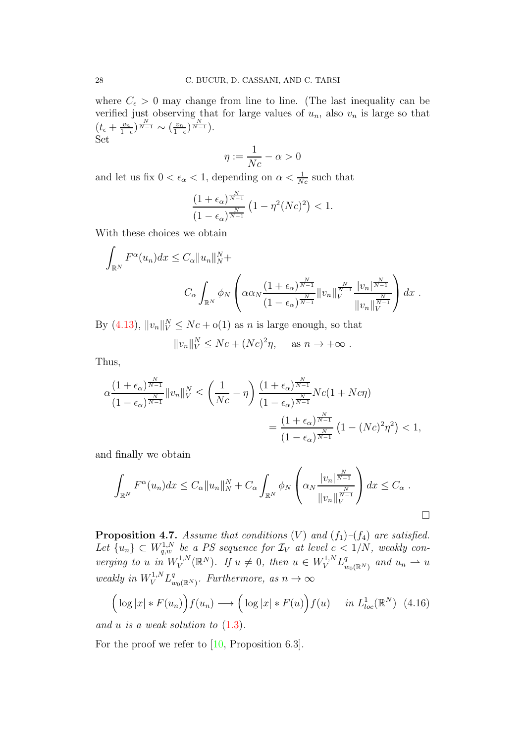where  $C_{\epsilon} > 0$  may change from line to line. (The last inequality can be verified just observing that for large values of  $u_n$ , also  $v_n$  is large so that  $(t_{\epsilon}+\frac{v_n}{1-\epsilon})$  $\frac{v_n}{1-\epsilon}\big)^{\frac{N}{N-1}} \sim \big(\frac{v_n}{1-\epsilon}\big)$  $\frac{v_n}{1-\epsilon}\big)^{\frac{N}{N-1}}$ ). Set

$$
\eta := \frac{1}{Nc} - \alpha > 0
$$

and let us fix  $0 < \epsilon_{\alpha} < 1$ , depending on  $\alpha < \frac{1}{Nc}$  such that

$$
\frac{(1+\epsilon_{\alpha})^{\frac{N}{N-1}}}{(1-\epsilon_{\alpha})^{\frac{N}{N-1}}}\left(1-\eta^2(Nc)^2\right) < 1.
$$

With these choices we obtain

$$
\int_{\mathbb{R}^N} F^{\alpha}(u_n) dx \leq C_{\alpha} \|u_n\|_N^N +
$$
\n
$$
C_{\alpha} \int_{\mathbb{R}^N} \phi_N \left( \alpha \alpha_N \frac{\left(1 + \epsilon_{\alpha}\right)^{\frac{N}{N-1}}}{\left(1 - \epsilon_{\alpha}\right)^{\frac{N}{N-1}}} \|v_n\|_V^{\frac{N}{N-1}} \frac{|v_n|^{\frac{N}{N-1}}}{\|v_n\|_V^{\frac{N}{N-1}}} \right) dx.
$$

By  $(4.13)$ ,  $||v_n||_V^N \le Nc + o(1)$  as n is large enough, so that

$$
||v_n||_V^N \le Nc + (Nc)^2 \eta, \quad \text{as } n \to +\infty.
$$

Thus,

$$
\alpha \frac{\left(1+\epsilon_{\alpha}\right)^{\frac{N}{N-1}}}{\left(1-\epsilon_{\alpha}\right)^{\frac{N}{N-1}}} \|v_{n}\|_{V}^{N} \leq \left(\frac{1}{Nc}-\eta\right) \frac{\left(1+\epsilon_{\alpha}\right)^{\frac{N}{N-1}}}{\left(1-\epsilon_{\alpha}\right)^{\frac{N}{N-1}}} Nc(1+Nc\eta)
$$

$$
= \frac{\left(1+\epsilon_{\alpha}\right)^{\frac{N}{N-1}}}{\left(1-\epsilon_{\alpha}\right)^{\frac{N}{N-1}}} \left(1-(Nc)^{2}\eta^{2}\right) < 1,
$$

and finally we obtain

$$
\int_{\mathbb{R}^N} F^{\alpha}(u_n) dx \leq C_{\alpha} \|u_n\|_N^N + C_{\alpha} \int_{\mathbb{R}^N} \phi_N\left(\alpha_N \frac{|v_n|^{\frac{N}{N-1}}}{\|v_n\|_V^{\frac{N}{N-1}}}\right) dx \leq C_{\alpha}.
$$

<span id="page-27-0"></span>**Proposition 4.7.** *Assume that conditions*  $(V)$  *and*  $(f_1)$ *–* $(f_4)$  *are satisfied.* Let  $\{u_n\} \subset W_{q,w}^{1,N}$  be a PS sequence for  $\mathcal{I}_V$  at level  $c < 1/N$ , weakly con*verging to u in*  $W_V^{1,N}$  $V^{1,N}(\mathbb{R}^N)$ . If  $u \neq 0$ , then  $u \in W^{1,N}_V L^q_u$  $_{w_0(\mathbb{R}^N)}^q$  and  $u_n \rightharpoonup u$ *weakly in*  $W_V^{1,N} L_u^q$  $_{w_0(\mathbb{R}^N)}^q$ . Furthermore, as  $n \to \infty$ 

$$
\left(\log|x|*F(u_n)\right)f(u_n)\longrightarrow \left(\log|x|*F(u)\right)f(u)\quad \text{ in } L^1_{loc}(\mathbb{R}^N) \tag{4.16}
$$

*and* u *is a weak solution to* [\(1.3\)](#page-1-1)*.*

For the proof we refer to [\[10,](#page-29-5) Proposition 6.3].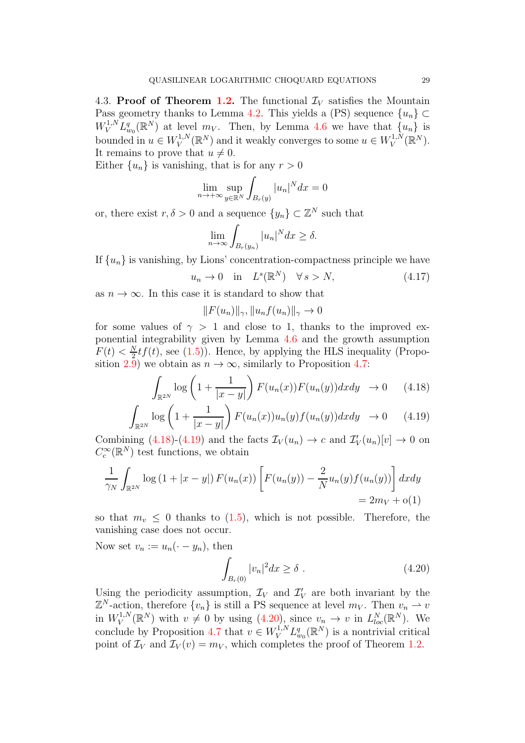4.3. Proof of Theorem [1.2.](#page-4-1) The functional  $\mathcal{I}_V$  satisfies the Mountain Pass geometry thanks to Lemma [4.2.](#page-17-1) This yields a (PS) sequence  $\{u_n\} \subset$  $W_V^{1,N} L_{w_0}^q(\mathbb{R}^N)$  at level  $m_V$ . Then, by Lemma [4.6](#page-24-1) we have that  $\{u_n\}$  is bounded in  $u \in W_V^{1,N}$  $V^{1,N}_V(\mathbb{R}^N)$  and it weakly converges to some  $u \in W^{1,N}_V$  $V^{1,N}(\mathbb{R}^N)$ . It remains to prove that  $u \neq 0$ .

Either  $\{u_n\}$  is vanishing, that is for any  $r > 0$ 

$$
\lim_{n \to +\infty} \sup_{y \in \mathbb{R}^N} \int_{B_r(y)} |u_n|^N dx = 0
$$

or, there exist  $r, \delta > 0$  and a sequence  $\{y_n\} \subset \mathbb{Z}^N$  such that

$$
\lim_{n \to \infty} \int_{B_r(y_n)} |u_n|^N dx \ge \delta.
$$

If  $\{u_n\}$  is vanishing, by Lions' concentration-compactness principle we have

$$
u_n \to 0 \quad \text{in} \quad L^s(\mathbb{R}^N) \quad \forall \, s > N,\tag{4.17}
$$

as  $n \to \infty$ . In this case it is standard to show that

$$
||F(u_n)||_{\gamma}, ||u_n f(u_n)||_{\gamma} \to 0
$$

for some values of  $\gamma > 1$  and close to 1, thanks to the improved exponential integrability given by Lemma [4.6](#page-24-1) and the growth assumption  $F(t) < \frac{N}{2}$  $\frac{N}{2}tf(t)$ , see [\(1.5\)](#page-2-1)). Hence, by applying the HLS inequality (Propo-sition [2.9\)](#page-9-1) we obtain as  $n \to \infty$ , similarly to Proposition [4.7:](#page-27-0)

<span id="page-28-0"></span>
$$
\int_{\mathbb{R}^{2N}} \log\left(1 + \frac{1}{|x-y|}\right) F(u_n(x)) F(u_n(y)) dx dy \rightarrow 0 \quad (4.18)
$$

$$
\int_{\mathbb{R}^{2N}} \log \left( 1 + \frac{1}{|x - y|} \right) F(u_n(x)) u_n(y) f(u_n(y)) dx dy \rightarrow 0 \quad (4.19)
$$

Combining  $(4.18)$ - $(4.19)$  and the facts  $\mathcal{I}_V(u_n) \to c$  and  $\mathcal{I}'_V(u_n)[v] \to 0$  on  $C_c^{\infty}(\mathbb{R}^N)$  test functions, we obtain

$$
\frac{1}{\gamma_N} \int_{\mathbb{R}^{2N}} \log (1 + |x - y|) F(u_n(x)) \left[ F(u_n(y)) - \frac{2}{N} u_n(y) f(u_n(y)) \right] dx dy
$$
  
= 2*mv* + o(1)

so that  $m_v \leq 0$  thanks to [\(1.5\)](#page-2-1), which is not possible. Therefore, the vanishing case does not occur.

Now set  $v_n := u_n(\cdot - y_n)$ , then

<span id="page-28-1"></span>
$$
\int_{B_r(0)} |v_n|^2 dx \ge \delta . \tag{4.20}
$$

Using the periodicity assumption,  $\mathcal{I}_V$  and  $\mathcal{I}'_V$  are both invariant by the  $\mathbb{Z}^N$ -action, therefore  $\{v_n\}$  is still a PS sequence at level  $m_V$ . Then  $v_n \to v$ in  $W_V^{1,N}$  $V^{1,N}(\mathbb{R}^N)$  with  $v \neq 0$  by using  $(4.20)$ , since  $v_n \to v$  in  $L^N_{loc}(\mathbb{R}^N)$ . We conclude by Proposition [4.7](#page-27-0) that  $v \in W_V^{1,N} L^q_{w_0}(\mathbb{R}^N)$  is a nontrivial critical point of  $\mathcal{I}_V$  and  $\mathcal{I}_V(v) = m_V$ , which completes the proof of Theorem [1.2.](#page-4-1)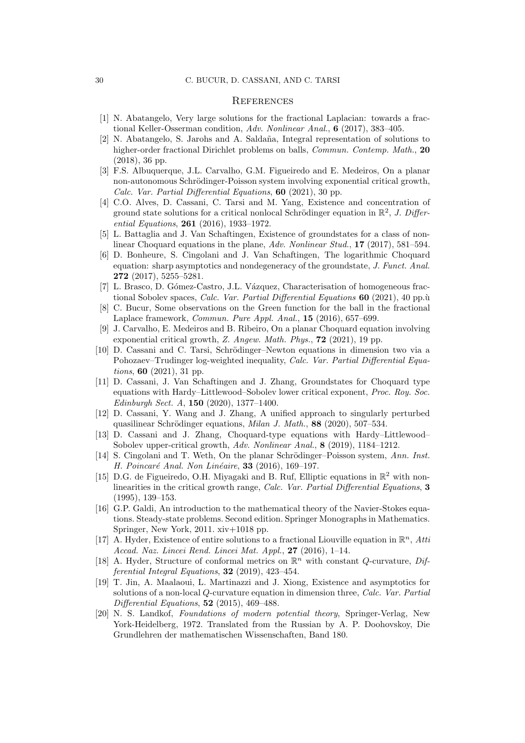#### **REFERENCES**

- <span id="page-29-14"></span><span id="page-29-12"></span>[1] N. Abatangelo, Very large solutions for the fractional Laplacian: towards a fractional Keller-Osserman condition, Adv. Nonlinear Anal., 6 (2017), 383-405.
- [2] N. Abatangelo, S. Jarohs and A. Saldaña, Integral representation of solutions to higher-order fractional Dirichlet problems on balls, *Commun. Contemp. Math.*, 20 (2018), 36 pp.
- <span id="page-29-7"></span>[3] F.S. Albuquerque, J.L. Carvalho, G.M. Figueiredo and E. Medeiros, On a planar non-autonomous Schrödinger-Poisson system involving exponential critical growth, Calc. Var. Partial Differential Equations, 60 (2021), 30 pp.
- <span id="page-29-2"></span>[4] C.O. Alves, D. Cassani, C. Tarsi and M. Yang, Existence and concentration of ground state solutions for a critical nonlocal Schrödinger equation in  $\mathbb{R}^2$ , J. Differential Equations, 261 (2016), 1933–1972.
- <span id="page-29-3"></span>[5] L. Battaglia and J. Van Schaftingen, Existence of groundstates for a class of nonlinear Choquard equations in the plane, Adv. Nonlinear Stud., 17 (2017), 581–594.
- <span id="page-29-4"></span>[6] D. Bonheure, S. Cingolani and J. Van Schaftingen, The logarithmic Choquard equation: sharp asymptotics and nondegeneracy of the groundstate, J. Funct. Anal. 272 (2017), 5255–5281.
- <span id="page-29-15"></span>[7] L. Brasco, D. Gómez-Castro, J.L. Vázquez, Characterisation of homogeneous fractional Sobolev spaces, Calc. Var. Partial Differential Equations  $60$  (2021), 40 pp. $\dot{u}$
- <span id="page-29-13"></span>[8] C. Bucur, Some observations on the Green function for the ball in the fractional Laplace framework, Commun. Pure Appl. Anal., 15 (2016), 657–699.
- <span id="page-29-8"></span>[9] J. Carvalho, E. Medeiros and B. Ribeiro, On a planar Choquard equation involving exponential critical growth, Z. Angew. Math. Phys., 72 (2021), 19 pp.
- <span id="page-29-5"></span>[10] D. Cassani and C. Tarsi, Schrödinger–Newton equations in dimension two via a Pohozaev–Trudinger log-weighted inequality, Calc. Var. Partial Differential Equations, 60 (2021), 31 pp.
- <span id="page-29-0"></span>[11] D. Cassani, J. Van Schaftingen and J. Zhang, Groundstates for Choquard type equations with Hardy–Littlewood–Sobolev lower critical exponent, Proc. Roy. Soc. Edinburgh Sect. A, 150 (2020), 1377–1400.
- <span id="page-29-9"></span>[12] D. Cassani, Y. Wang and J. Zhang, A unified approach to singularly perturbed quasilinear Schrödinger equations, Milan J. Math., 88 (2020), 507–534.
- <span id="page-29-1"></span>[13] D. Cassani and J. Zhang, Choquard-type equations with Hardy–Littlewood– Sobolev upper-critical growth, Adv. Nonlinear Anal., 8 (2019), 1184–1212.
- <span id="page-29-6"></span>[14] S. Cingolani and T. Weth, On the planar Schrödinger–Poisson system, Ann. Inst. H. Poincaré Anal. Non Linéaire,  $33$  (2016), 169–197.
- <span id="page-29-10"></span>[15] D.G. de Figueiredo, O.H. Miyagaki and B. Ruf, Elliptic equations in  $\mathbb{R}^2$  with nonlinearities in the critical growth range, Calc. Var. Partial Differential Equations, 3 (1995), 139–153.
- <span id="page-29-17"></span>[16] G.P. Galdi, An introduction to the mathematical theory of the Navier-Stokes equations. Steady-state problems. Second edition. Springer Monographs in Mathematics. Springer, New York, 2011. xiv+1018 pp.
- <span id="page-29-18"></span>[17] A. Hyder, Existence of entire solutions to a fractional Liouville equation in  $\mathbb{R}^n$ , Atti Accad. Naz. Lincei Rend. Lincei Mat. Appl.,  $27$  (2016), 1-14.
- <span id="page-29-11"></span>[18] A. Hyder, Structure of conformal metrics on  $\mathbb{R}^n$  with constant Q-curvature, Differential Integral Equations, 32 (2019), 423–454.
- <span id="page-29-19"></span>[19] T. Jin, A. Maalaoui, L. Martinazzi and J. Xiong, Existence and asymptotics for solutions of a non-local Q-curvature equation in dimension three, Calc. Var. Partial Differential Equations,  $52$  (2015), 469-488.
- <span id="page-29-16"></span>[20] N. S. Landkof, Foundations of modern potential theory, Springer-Verlag, New York-Heidelberg, 1972. Translated from the Russian by A. P. Doohovskoy, Die Grundlehren der mathematischen Wissenschaften, Band 180.